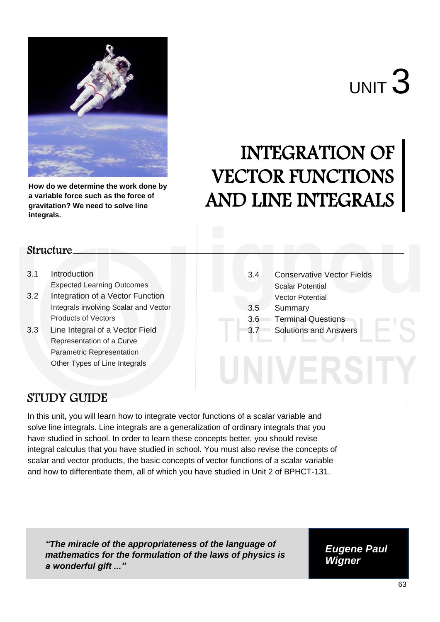

**How do we determine the work done by a variable force such as the force of gravitation? We need to solve line integrals.**

# INTEGRATION OF VECTOR FUNCTIONS AND LINE INTEGRALS

# **Structure**

- 3.1 Introduction Expected Learning Outcomes
- 3.2 Integration of a Vector Function Integrals involving Scalar and Vector Products of Vectors
- 3.3Line Integral of a Vector Field Representation of a Curve Parametric Representation Other Types of Line Integrals

3.4 Conservative Vector Fields Scalar Potential Vector Potential 3.5 Summary 3.6 Terminal Questions 3.7 Solutions and Answers

# STUDY GUIDE

In this unit, you will learn how to integrate vector functions of a scalar variable and solve line integrals. Line integrals are a generalization of ordinary integrals that you have studied in school. In order to learn these concepts better, you should revise integral calculus that you have studied in school. You must also revise the concepts of scalar and vector products, the basic concepts of vector functions of a scalar variable and how to differentiate them, all of which you have studied in Unit 2 of BPHCT-131.

*"The miracle of the appropriateness of the language of mathematics for the formulation of the laws of physics is a wonderful gift ..."*

*Eugene Paul Wigner*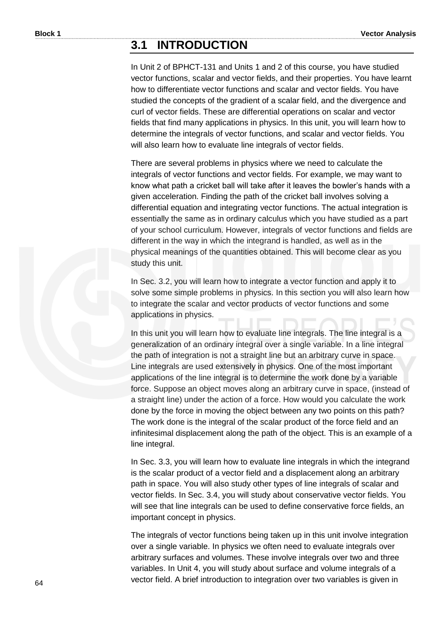# **3.1 INTRODUCTION**

In Unit 2 of BPHCT-131 and Units 1 and 2 of this course, you have studied vector functions, scalar and vector fields, and their properties. You have learnt how to differentiate vector functions and scalar and vector fields. You have studied the concepts of the gradient of a scalar field, and the divergence and curl of vector fields. These are differential operations on scalar and vector fields that find many applications in physics. In this unit, you will learn how to determine the integrals of vector functions, and scalar and vector fields. You will also learn how to evaluate line integrals of vector fields.

There are several problems in physics where we need to calculate the integrals of vector functions and vector fields. For example, we may want to know what path a cricket ball will take after it leaves the bowler's hands with a given acceleration. Finding the path of the cricket ball involves solving a differential equation and integrating vector functions. The actual integration is essentially the same as in ordinary calculus which you have studied as a part of your school curriculum. However, integrals of vector functions and fields are different in the way in which the integrand is handled, as well as in the physical meanings of the quantities obtained. This will become clear as you study this unit.

In Sec. 3.2, you will learn how to integrate a vector function and apply it to solve some simple problems in physics. In this section you will also learn how to integrate the scalar and vector products of vector functions and some applications in physics.

In this unit you will learn how to evaluate line integrals. The line integral is a generalization of an ordinary integral over a single variable. In a line integral the path of integration is not a straight line but an arbitrary curve in space. Line integrals are used extensively in physics. One of the most important applications of the line integral is to determine the work done by a variable force. Suppose an object moves along an arbitrary curve in space, (instead of a straight line) under the action of a force. How would you calculate the work done by the force in moving the object between any two points on this path? The work done is the integral of the scalar product of the force field and an infinitesimal displacement along the path of the object. This is an example of a line integral.

In Sec. 3.3, you will learn how to evaluate line integrals in which the integrand is the scalar product of a vector field and a displacement along an arbitrary path in space. You will also study other types of line integrals of scalar and vector fields. In Sec. 3.4, you will study about conservative vector fields. You will see that line integrals can be used to define conservative force fields, an important concept in physics.

The integrals of vector functions being taken up in this unit involve integration over a single variable. In physics we often need to evaluate integrals over arbitrary surfaces and volumes. These involve integrals over two and three variables. In Unit 4, you will study about surface and volume integrals of a vector field. A brief introduction to integration over two variables is given in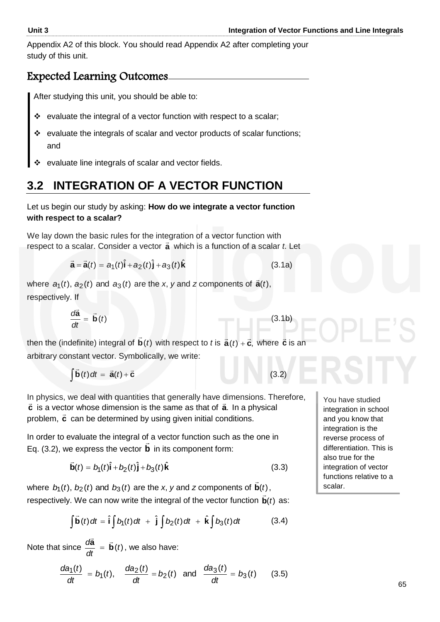Appendix A2 of this block. You should read Appendix A2 after completing your study of this unit.

# Expected Learning Outcomes

After studying this unit, you should be able to:

- $\div$  evaluate the integral of a vector function with respect to a scalar;
- \* evaluate the integrals of scalar and vector products of scalar functions; and
- evaluate line integrals of scalar and vector fields.

# **3.2 INTEGRATION OF A VECTOR FUNCTION**

Let us begin our study by asking: **How do we integrate a vector function with respect to a scalar?**

We lay down the basic rules for the integration of a vector function with respect to a scalar. Consider a vector **a** which is a function of a scalar *t*. Let

$$
\vec{\mathbf{a}} = \vec{\mathbf{a}}(t) = a_1(t)\hat{\mathbf{i}} + a_2(t)\hat{\mathbf{j}} + a_3(t)\hat{\mathbf{k}}
$$
 (3.1a)

where  $a_1(t)$ ,  $a_2(t)$  and  $a_3(t)$  are the *x*, *y* and *z* components of  $\vec{a}(t)$ , respectively. If

$$
\frac{d\vec{a}}{dt} = \vec{b}(t) \tag{3.1b}
$$

then the (indefinite) integral of  $\mathbf{b}(t)$  $\overline{\phantom{a}}$ with respect to *t* is  $\vec{a}(t) + \vec{c}$ , where  $\vec{c}$  is an arbitrary constant vector. Symbolically, we write:

$$
\int \vec{b}(t) dt = \vec{a}(t) + \vec{c}
$$
 (3.2)

In physics, we deal with quantities that generally have dimensions. Therefore, **c** is a vector whose dimension is the same as that of **a**. In a physical **c** is a restormness annotion is the same as that or **a**. In a pri-

In order to evaluate the integral of a vector function such as the one in Eq. (3.2), we express the vector **b** in its component form:

$$
\vec{\mathbf{b}}(t) = b_1(t)\hat{\mathbf{i}} + b_2(t)\hat{\mathbf{j}} + b_3(t)\hat{\mathbf{k}}
$$
 (3.3)

where  $b_1(t)$ ,  $b_2(t)$  and  $b_3(t)$  are the *x*, *y* and *z* components of  $\mathbf{b}(t)$  $\rightarrow$ , respectively. We can now write the integral of the vector function  $\mathbf{b}(t)$  as: Ľ

y. We can now write the integral of the vector function 
$$
\vec{b}(t)
$$
 as:  
\n
$$
\int \vec{b}(t) dt = \hat{i} \int b_1(t) dt + \hat{j} \int b_2(t) dt + \hat{k} \int b_3(t) dt
$$
\n(3.4)

Note that since  $\frac{d\mathbf{a}}{dt} = \mathbf{b}(t)$ *dt*  $\frac{d\vec{a}}{dt} = \vec{b}$  $= b(t)$ , we also have:

$$
\frac{da_1(t)}{dt} = b_1(t), \quad \frac{da_2(t)}{dt} = b_2(t) \text{ and } \frac{da_3(t)}{dt} = b_3(t) \quad (3.5)
$$

You have studied integration in school and you know that integration is the reverse process of differentiation. This is also true for the integration of vector functions relative to a scalar.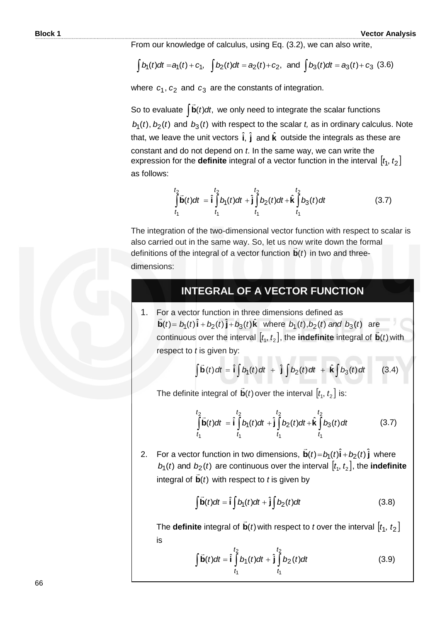From our knowledge of calculus, using Eq. (3.2), we can also write,

$$
\int b_1(t)dt = a_1(t) + c_1
$$
,  $\int b_2(t)dt = a_2(t) + c_2$ , and  $\int b_3(t)dt = a_3(t) + c_3$  (3.6)

where  $c_1$ ,  $c_2$  and  $c_3$  are the constants of integration.

So to evaluate  $\int \vec{b}(t) dt$ ,  $\overline{a}$  we only need to integrate the scalar functions  $b_1(t)$ ,  $b_2(t)$  and  $b_3(t)$  with respect to the scalar *t*, as in ordinary calculus. Note that, we leave the unit vectors  $\hat{\textbf{i}}, \hat{\textbf{j}}$  and  $\hat{\textbf{k}}$  outside the integrals as these are constant and do not depend on *t*. In the same way, we can write the expression for the **definite** integral of a vector function in the interval  $[t_1, t_2]$ as follows:

$$
\int_{t_1}^{t_2} \vec{b}(t)dt = \hat{i} \int_{t_1}^{t_2} b_1(t)dt + \hat{j} \int_{t_1}^{t_2} b_2(t)dt + \hat{k} \int_{t_1}^{t_2} b_3(t)dt
$$
\n(3.7)

The integration of the two-dimensional vector function with respect to scalar is also carried out in the same way. So, let us now write down the formal definitions of the integral of a vector function  $\mathbf{b}(t)$  in two and threedimensions:

### **INTEGRAL OF A VECTOR FUNCTION**

1. For a vector function in three dimensions defined as  $\vec{\mathbf{b}}(t) = b_1(t)\hat{\mathbf{i}} + b_2(t)\hat{\mathbf{j}} + b_3(t)\hat{\mathbf{k}}$  $\overline{\phantom{a}}$ where  $b_1(t)$ ,  $b_2(t)$  and  $b_3(t)$  are continuous over the interval  $[t_i, t_2]$ , the **indefinite** integral of  $\mathbf{b}(t)$  $\overline{a}$ with respect to *t* is given by:

*t* is given by:  
\n
$$
\int \vec{b}(t) dt = \hat{i} \int b_1(t) dt + \hat{j} \int b_2(t) dt + \hat{k} \int b_3(t) dt
$$
\n(3.4)

The definite integral of  $\mathbf{b}(t)$  $\overline{a}$ over the interval  $[t_1, t_2]$  is:

I

$$
\int_{t_1}^{t_2} \vec{b}(t)dt = \hat{i} \int_{t_1}^{t_2} b_1(t)dt + \hat{j} \int_{t_1}^{t_2} b_2(t)dt + \hat{k} \int_{t_1}^{t_2} b_3(t)dt
$$
 (3.7)

2. For a vector function in two dimensions,  $\vec{\mathbf{b}}(t) = b_1(t)\hat{\mathbf{i}} + b_2(t)\hat{\mathbf{j}}$  $\overline{a}$ where  $b_1(t)$  and  $b_2(t)$  are continuous over the interval  $[t_1, t_2]$ , the **indefinite** integral of  $\mathbf{b}(t)$  with respect to  $t$  is given by  $\tilde{ }$ .

$$
\int \vec{b}(t)dt = \hat{i} \int b_1(t)dt + \hat{j} \int b_2(t)dt
$$
 (3.8)

The **definite** integral of  $\mathbf{b}(t)$  $\overline{a}$ with respect to *t* over the interval  $[t_1, t_2]$ is

$$
\int \vec{b}(t)dt = \hat{i} \int_{t_1}^{t_2} b_1(t)dt + \hat{j} \int_{t_1}^{t_2} b_2(t)dt
$$
 (3.9)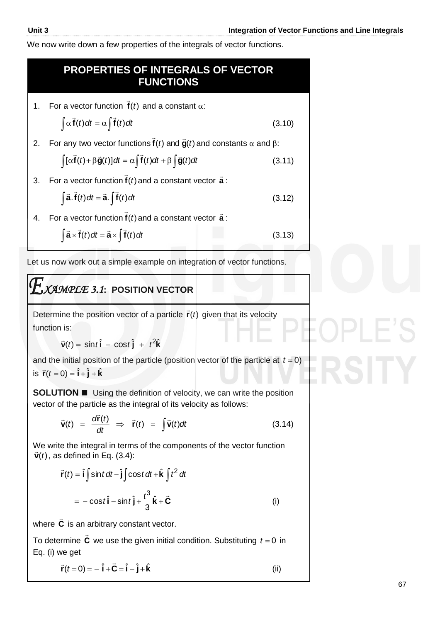l

We now write down a few properties of the integrals of vector functions.

#### 1. For a vector function  $f(t)$  $\overline{a}$ and a constant  $\alpha$ :  $\int \alpha f(t) dt = \alpha \int f(t) dt$  $\overline{z}$ .  $\overline{z}$ (3.10) 2. For any two vector functions  $f(t)$  and  $\ddot{g}(t)$  $\vec{\bm{\mathsf{f}}}(t)$  and  $\vec{\bm{\mathsf{g}}}(t)$  and constants  $\alpha$  and  $\beta$ :  $\int [\alpha \mathbf{f}(t) + \beta \mathbf{g}(t)] dt = \alpha \int \mathbf{f}(t) dt + \beta \int \mathbf{g}(t) dt$  $\vec{f}(t)$  :  $0 \frac{1}{2}(t)$  of  $\vec{f}$ (3.11) 3. For a vector function  $f(t)$  $\overline{a}$ and a constant vector **a** :  $\int \vec{a} \cdot \vec{f}(t) dt = \vec{a} \cdot \int \vec{f}(t) dt$  (3.12) 4. For a vector function **f** *t*)(  $\overline{a}$ and a constant vector **a** :  $\int \vec{a} \times \vec{f}(t) dt = \vec{a} \times \int \vec{f}(t) dt$  (3.13) **PROPERTIES OF INTEGRALS OF VECTOR FUNCTIONS**

Let us now work out a simple example on integration of vector functions.

# *XAMPLE 3.1***: POSITION VECTOR**

Determine the position vector of a particle  $\mathbf{r}(t)$  $\rightarrow$ given that its velocity function is:

$$
\vec{\mathbf{v}}(t) = \sin t \hat{\mathbf{i}} - \cos t \hat{\mathbf{j}} + t^2 \hat{\mathbf{k}}
$$

and the initial position of the particle (position vector of the particle at  $t = 0$ ) is  $\vec{r}(t=0) = \hat{i} + \hat{j} + \hat{k}$ 

**SOLUTION Using the definition of velocity, we can write the position** vector of the particle as the integral of its velocity as follows:

$$
\vec{\mathbf{v}}(t) = \frac{d\vec{\mathbf{r}}(t)}{dt} \Rightarrow \vec{\mathbf{r}}(t) = \int \vec{\mathbf{v}}(t) dt
$$
 (3.14)

We write the integral in terms of the components of the vector function  $\vec{F}(t)$  $\vec{\mathbf{v}}(t)$ , as defined in Eq. (3.4):

$$
\vec{r}(t) = \hat{i} \int \sin t \, dt - \hat{j} \int \cos t \, dt + \hat{k} \int t^2 \, dt
$$

$$
= -\cos t \hat{i} - \sin t \hat{j} + \frac{t^3}{3} \hat{k} + \vec{C}
$$
(i)

where **C**  $\overline{a}$ is an arbitrary constant vector.

To determine **C**  $\overline{z}$ we use the given initial condition. Substituting  $t = 0$  in Eq. (i) we get

$$
\vec{\mathbf{r}}(t=0) = -\hat{\mathbf{i}} + \vec{\mathbf{C}} = \hat{\mathbf{i}} + \hat{\mathbf{j}} + \hat{\mathbf{k}} \tag{ii}
$$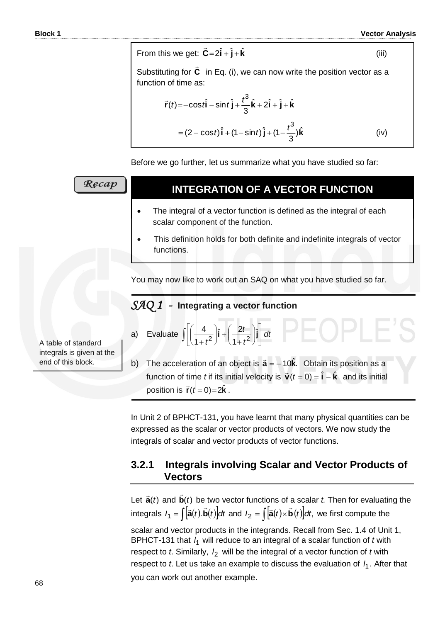(iii)

From this we get:  $\vec{C} = 2\hat{i} + \hat{j} + \hat{k}$  $\overline{a}$ 

Substituting for **C**  $\overline{a}$  in Eq. (i), we can now write the position vector as a function of time as:

$$
\vec{r}(t) = -\cos t \hat{i} - \sin t \hat{j} + \frac{t^3}{3} \hat{k} + 2\hat{i} + \hat{j} + \hat{k}
$$
  
=  $(2 - \cos t) \hat{i} + (1 - \sin t) \hat{j} + (1 - \frac{t^3}{3}) \hat{k}$  (iv)

Before we go further, let us summarize what you have studied so far:

| Recap                                            | <b>INTEGRATION OF A VECTOR FUNCTION</b>                                                                               |
|--------------------------------------------------|-----------------------------------------------------------------------------------------------------------------------|
|                                                  | The integral of a vector function is defined as the integral of each<br>scalar component of the function.             |
|                                                  | This definition holds for both definite and indefinite integrals of vector<br>functions.                              |
|                                                  | You may now like to work out an SAQ on what you have studied so far.                                                  |
|                                                  | SAQ 1<br>Integrating a vector function<br>-                                                                           |
| A table of standard<br>integrals is given at the | a) Evaluate $\int \left[ \left( \frac{4}{1+t^2} \right) \hat{i} + \left( \frac{2t}{1+t^2} \right) \hat{j} \right] dt$ |
| end of this block.                               | The acceleration of an object is $\vec{a} = -10\hat{k}$ . Obtain its position as a<br>b)                              |

position is  $\vec{r}(t=0)$ =2 $\hat{k}$ .

In Unit 2 of BPHCT-131, you have learnt that many physical quantities can be expressed as the scalar or vector products of vectors. We now study the integrals of scalar and vector products of vector functions.

function of time *t* if its initial velocity is  $\vec{v}(t=0) = \hat{i} - \hat{k}$  and its initial

### **3.2.1 Integrals involving Scalar and Vector Products of Vectors**

Let  $\vec{a}(t)$  and  $\vec{b}(t)$  $\rightarrow$  be two vector functions of a scalar *t.* Then for evaluating the integrals and  $\vec{b}(t)$  be two vector functions of a scalar *t*. Then<br>  $I_1 = \int [\vec{a}(t).\vec{b}(t)]dt$  and  $I_2 = \int [\vec{a}(t) \times \vec{b}(t)]dt$ , we first c we first compute the

scalar and vector products in the integrands. Recall from Sec. 1.4 of Unit 1, BPHCT-131 that  $l_1$  will reduce to an integral of a scalar function of *t* with respect to *t*. Similarly,  $I_2$  will be the integral of a vector function of *t* with respect to *t*. Let us take an example to discuss the evaluation of  $I_1$ . After that you can work out another example.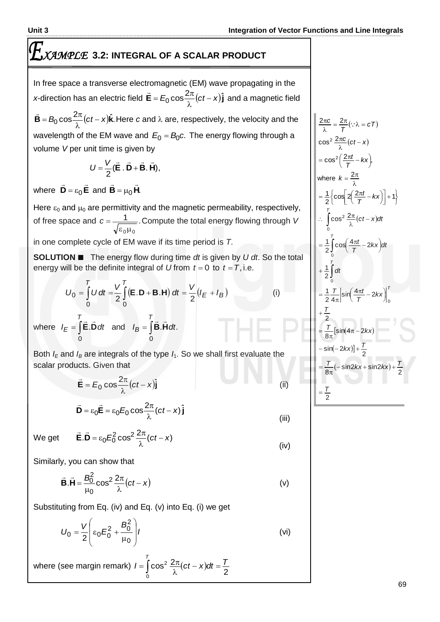# *XAMPLE* **3.2: INTEGRAL OF A SCALAR PRODUCT**

In free space a transverse electromagnetic (EM) wave propagating in the *x*-direction has an electric field  $\vec{\mathbf{E}} = E_0 \cos \frac{2\pi}{\lambda} (ct - x) \hat{\mathbf{j}}$  and  $=E_0 \cos \frac{2\pi}{\lambda}$  $\rightarrow$ and a magnetic field  $\vec{\mathbf{B}} = B_0 \cos \frac{2\pi}{\lambda} (ct - x)\hat{\mathbf{k}}.$  He  $=$   $B_0 \cos \frac{2\pi}{\lambda}$  $\overline{a}$ Here  $c$  and  $\lambda$  are, respectively, the velocity and the

wavelength of the EM wave and  $E_0 = B_0c$ . The energy flowing through a volume *V* per unit time is given by

$$
U=\frac{V}{2}(\vec{E}\cdot\vec{D}+\vec{B}\cdot\vec{H}),
$$

where  $D = \varepsilon_0 E$  $\frac{1}{2}$   $\frac{1}{2}$  $=\varepsilon_0$ **E** and **B**  $=\mu_0$ **H**.  $\frac{1}{2}$   $\frac{1}{2}$  $= \mu$ 

Here  $\varepsilon_0$  and  $\mu_0$  are permittivity and the magnetic permeability, respectively, of free space and  $c = \frac{1}{\sqrt{2}}$ .  $\varepsilon_0\mu_0$ *c* Compute the total energy flowing through *V* in one complete cycle of EM wave if its time period is *T*.

**SOLUTION ■** The energy flow during time *dt* is given by *U dt*. So the total

energy will be the definite integral of *U* from 
$$
t = 0
$$
 to  $t = T$ , i.e.  
\n
$$
U_0 = \int_0^T U dt = \frac{V}{2} \int_0^T (\mathbf{E} \cdot \mathbf{D} + \mathbf{B} \cdot \mathbf{H}) dt = \frac{V}{2} (I_E + I_B)
$$
\n(i)

where  $I_E = \int \vec{E} \cdot \vec{D} dt$  and  $I_B = \int$ *T B T*  $I_E = \int \mathbf{E} \cdot \mathbf{D} dt$  and  $I_B = \int \mathbf{B} \cdot \mathbf{H} dt$ 0 0 **E.D** *dt* and  $I_B = \mathbf{B}$ **.H** *dt*. 

Both  $I<sub>E</sub>$  and  $I<sub>B</sub>$  are integrals of the type  $I<sub>1</sub>$ . So we shall first evaluate the scalar products. Given that

$$
\vec{\mathbf{E}} = E_0 \cos \frac{2\pi}{\lambda} (ct - x) \hat{\mathbf{j}}
$$
\n
$$
\vec{\mathbf{D}} = \varepsilon_0 \vec{\mathbf{E}} = \varepsilon_0 E_0 \cos \frac{2\pi}{\lambda} (ct - x) \hat{\mathbf{j}}
$$
\n(iii)

We get

$$
\vec{\mathbf{E}}.\vec{\mathbf{D}} = \varepsilon_0 E_0^2 \cos^2 \frac{2\pi}{\lambda} (ct - x)
$$
 (iv)

Similarly, you can show that

$$
\vec{\mathbf{B}}.\vec{\mathbf{H}} = \frac{B_0^2}{\mu_0} \cos^2 \frac{2\pi}{\lambda} (ct - x)
$$
 (v)

Substituting from Eq. (iv) and Eq. (v) into Eq. (i) we get

$$
U_0 = \frac{V}{2} \left( \varepsilon_0 E_0^2 + \frac{B_0^2}{\mu_0} \right) I
$$
 (vi)

where (see margin remark)  $I = \int_{0}^{T} \cos^2 \frac{2\pi}{\lambda} (ct - x) dt = \frac{T}{2}$  $I = \int_0^T \cos^2 \frac{2\pi}{\lambda} (ct - x) dt = \frac{T}{2}$ 0  $(x-x)dt =$ λ  $=\int \cos^2 \frac{2\pi}{\lambda}$ 

$$
\frac{2\pi c}{\lambda} = \frac{2\pi}{T} (\because \lambda = cT)
$$
  
\n
$$
\cos^2 \frac{2\pi c}{\lambda} (ct - x)
$$
  
\n
$$
= \cos^2 \left(\frac{2\pi t}{T} - kx\right),
$$
  
\nwhere  $k = \frac{2\pi}{\lambda}$   
\n
$$
= \frac{1}{2} \left\{ \cos \left[ 2\left(\frac{2\pi t}{T} - kx\right) \right] + 1 \right\}
$$
  
\n
$$
\therefore \int_0^T \cos^2 \frac{2\pi}{\lambda} (ct - x) dt
$$
  
\n
$$
= \frac{1}{2} \int_0^T \cos \left(\frac{4\pi t}{T} - 2kx\right) dt
$$
  
\n
$$
+ \frac{1}{2} \int_0^T dt
$$
  
\n
$$
= \frac{1}{2} \frac{T}{4\pi} \left[ \sin \left(\frac{4\pi t}{T} - 2kx\right) \right]_0^T
$$
  
\n
$$
+ \frac{T}{2}
$$
  
\n
$$
= \frac{T}{8\pi} [\sin(4\pi - 2kx)]
$$
  
\n
$$
= \frac{T}{8\pi} (-\sin 2kx + \sin 2kx) + \frac{T}{2}
$$
  
\n
$$
= \frac{T}{2}
$$

I

I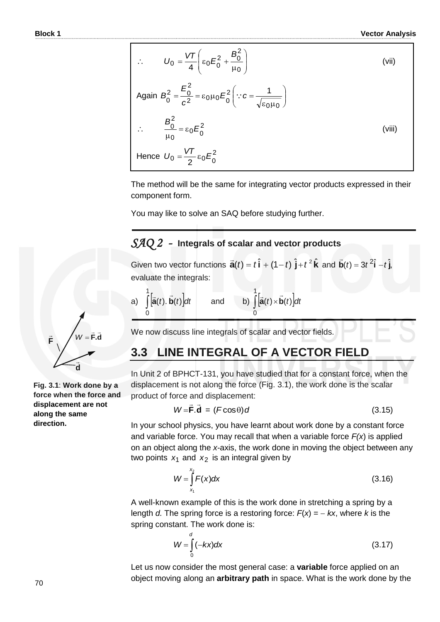$$
\therefore \qquad U_0 = \frac{VT}{4} \left( \epsilon_0 E_0^2 + \frac{B_0^2}{\mu_0} \right) \tag{vii}
$$
\n
$$
\text{Again } B_0^2 = \frac{E_0^2}{c^2} = \epsilon_0 \mu_0 E_0^2 \left( \because c = \frac{1}{\sqrt{\epsilon_0 \mu_0}} \right)
$$
\n
$$
\therefore \qquad \frac{B_0^2}{\mu_0} = \epsilon_0 E_0^2 \tag{viii}
$$
\n
$$
\text{Hence } U_0 = \frac{VT}{2} \epsilon_0 E_0^2 \tag{viii}
$$

The method will be the same for integrating vector products expressed in their component form.

You may like to solve an SAQ before studying further.

### *SAQ 2 -* **Integrals of scalar and vector products**

Given two vector functions  $\vec{\mathbf{a}}(t) = t\hat{\mathbf{i}} + (1-t)\hat{\mathbf{j}} + t^2\hat{\mathbf{k}}$  $\overline{a}$ and  $\vec{b}(t) = 3t^2\hat{i} - t\hat{j}$ ,  $\overline{a}$ evaluate the integrals:

a) 
$$
\int_{0}^{1} [\vec{a}(t), \vec{b}(t)] dt
$$
 and b)  $\int_{0}^{1} [\vec{a}(t) \times \vec{b}(t)] dt$ 

We now discuss line integrals of scalar and vector fields.

# **3.3 LINE INTEGRAL OF A VECTOR FIELD**

In Unit 2 of BPHCT-131, you have studied that for a constant force, when the displacement is not along the force (Fig. 3.1), the work done is the scalar product of force and displacement:

$$
W = \vec{F} \cdot \vec{d} = (F \cos \theta) d \tag{3.15}
$$

In your school physics, you have learnt about work done by a constant force and variable force. You may recall that when a variable force *F(x*) is applied on an object along the *x*-axis, the work done in moving the object between any two points  $x_1$  and  $x_2$  is an integral given by

$$
W = \int_{x_1}^{x_2} F(x) dx
$$
 (3.16)

A well-known example of this is the work done in stretching a spring by a length *d*. The spring force is a restoring force:  $F(x) = -kx$ , where *k* is the spring constant. The work done is:

$$
W = \int_{0}^{d} (-kx)dx
$$
 (3.17)

Let us now consider the most general case: a **variable** force applied on an object moving along an **arbitrary path** in space. What is the work done by the



**Fig. 3.1**: **Work done by a force when the force and displacement are not along the same direction.**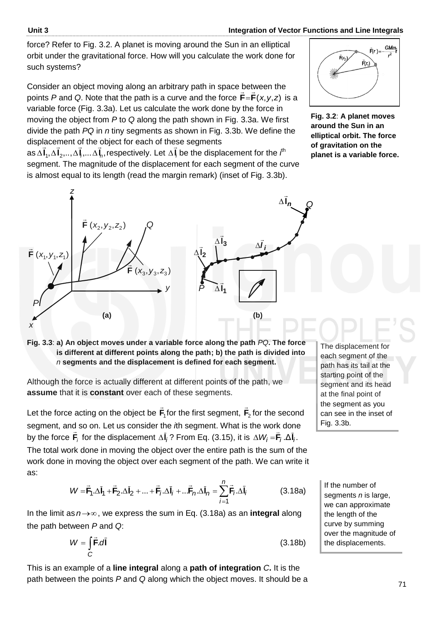force? Refer to Fig. 3.2. A planet is moving around the Sun in an elliptical orbit under the gravitational force. How will you calculate the work done for such systems?

Consider an object moving along an arbitrary path in space between the<br> points P and Q. Note that the path is a curve and the force  $F = F(x, y, z)$  is a variable force (Fig. 3.3a). Let us calculate the work done by the force in moving the object from *P* to *Q* along the path shown in Fig. 3.3a. We first divide the path *PQ* in *n* tiny segments as shown in Fig. 3.3b. We define the displacement of the object for each of these segments



**Fig. 3.2**: **A planet moves around the Sun in an elliptical orbit. The force of gravitation on the planet is a variable force.** 

 $\textsf{as}\, \Delta \mathsf{I}_1, \Delta \mathsf{I}_2, \!\dots\!, \Delta \mathsf{I}_l, \!\dots \Delta \mathsf{I}_n, \text{respectively. Let } \Delta \mathsf{I}_l$ バー  $\Delta \vec{\bm{l}}_i$  be the displacement for the  $\bm{\it{l}}^{\text{th}}$ segment. The magnitude of the displacement for each segment of the curve is almost equal to its length (read the margin remark) (inset of Fig. 3.3b).



**Fig. 3.3**: **a) An object moves under a variable force along the path** *PQ***. The force is different at different points along the path; b) the path is divided into**  *n* **segments and the displacement is defined for each segment.**

Although the force is actually different at different points of the path, we **assume** that it is **constant** over each of these segments.

Let the force acting on the object be **F**1  $\rightarrow$ for the first segment, **F**2  $\rightarrow$ for the second segment, and so on. Let us consider the *i*th segment. What is the work done by the force  $\mathbf{F}_i$  for the displacement Δ**I**<sub>*i*</sub>? From Eq. (3.15), it is Δ $W_i$ = $\mathbf{F}_i$  .Δ**I**<sub>*i*</sub>.  $\frac{1}{2}$  $\Delta W_i =$ The total work done in moving the object over the entire path is the sum of the work done in moving the object over each segment of the path. We can write it

$$
W = \vec{F}_1 \cdot \Delta \vec{l}_1 + \vec{F}_2 \cdot \Delta \vec{l}_2 + \dots + \vec{F}_j \cdot \Delta \vec{l}_j + \dots \vec{F}_n \cdot \Delta \vec{l}_n = \sum_{j=1}^n \vec{F}_j \cdot \Delta \vec{l}_j
$$
(3.18a)

In the limit as  $n \rightarrow \infty$ , we express the sum in Eq. (3.18a) as an **integral** along the path between *P* and *Q*:

$$
W = \int_{C} \vec{F} \cdot d\vec{l} \tag{3.18b}
$$

This is an example of a **line integral** along a **path of integration** *C***.** It is the path between the points *P* and *Q* along which the object moves. It should be a The displacement for each segment of the path has its tail at the starting point of the segment and its head at the final point of the segment as you can see in the inset of Fig. 3.3b.

If the number of segments *n* is large, we can approximate the length of the curve by summing over the magnitude of the displacements.

as: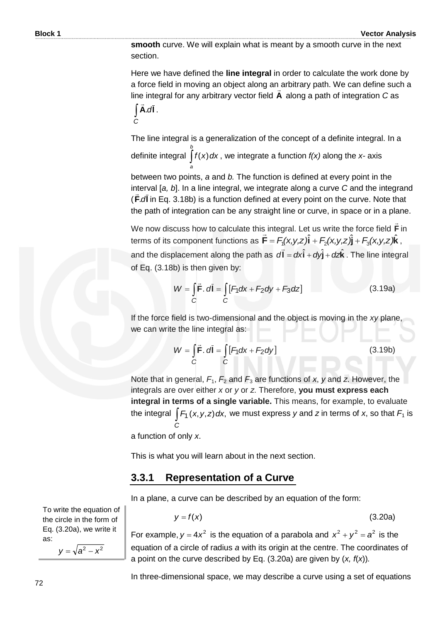**smooth** curve. We will explain what is meant by a smooth curve in the next section.

Here we have defined the **line integral** in order to calculate the work done by a force field in moving an object along an arbitrary path. We can define such a<br>... line integral for any arbitrary vector field **A** along a path of integration *C* as .*d***lA**  $\overline{a}$ .

*C*

The line integral is a generalization of the concept of a definite integral. In a definite integral *b a*  $f(x)$  *dx*, we integrate a function  $f(x)$  along the *x*- axis

between two points, *a* and *b.* The function is defined at every point in the interval [*a, b*]. In a line integral, we integrate along a curve *C* and the integrand ( .*d***lF** in Eq. 3.18b) is a function defined at every point on the curve. Note that the path of integration can be any straight line or curve, in space or in a plane.

We now discuss how to calculate this integral. Let us write the force field **F**  $\rightarrow$ s integral. Let us write the force field **F** in terms of its component functions as  $\vec{F} = F_1(x,y,z)\hat{i} + F_2(x,y,z)\hat{j} + F_3(x,y,z)\hat{k}$ , and the displacement along the path as  $d\vec{l} = dx\hat{i} + dy\hat{j} + dz\hat{k}$ . The line integral of Eq. (3.18b) is then given by:

$$
W = \int_{C} \vec{F} \cdot d\vec{l} = \int_{C} [F_1 dx + F_2 dy + F_3 dz]
$$
 (3.19a)

If the force field is two-dimensional and the object is moving in the *xy* plane, we can write the line integral as:

$$
W = \int_{C} \vec{F} \cdot d\vec{l} = \int_{C} [F_1 dx + F_2 dy]
$$
 (3.19b)

Note that in general,  $F_1$ ,  $F_2$  and  $F_3$  are functions of x, y and z. However, the integrals are over either *x* or *y* or *z*. Therefore, **you must express each integral in terms of a single variable.** This means, for example, to evaluate the integral  $\int F_1(x, y, z) dx$ , we must express *y* and *z* in terms of *x*, so that  $F_1$  is *C*

a function of only *x*.

This is what you will learn about in the next section.

### **3.3.1 Representation of a Curve**

In a plane, a curve can be described by an equation of the form:

$$
y = f(x) \tag{3.20a}
$$

For example,  $y = 4x^2$  is the equation of a parabola and  $x^2 + y^2 = a^2$  is the equation of a circle of radius *a* with its origin at the centre. The coordinates of a point on the curve described by Eq. (3.20a) are given by (*x, f*(*x*))*.*

In three-dimensional space, we may describe a curve using a set of equations

To write the equation of the circle in the form of Eq. (3.20a), we write it as:

 $y = \sqrt{a^2 - x^2}$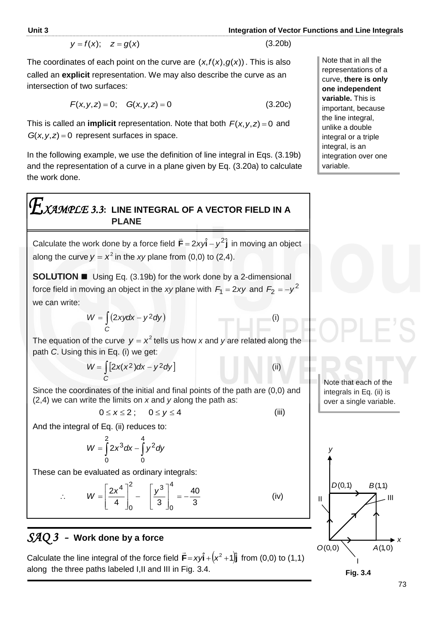(3.20b)

(i)

$$
y = f(x); \quad z = g(x)
$$

The coordinates of each point on the curve are  $(x, f(x), g(x))$ . This is also called an **explicit** representation. We may also describe the curve as an intersection of two surfaces:

$$
F(x, y, z) = 0; \quad G(x, y, z) = 0 \tag{3.20c}
$$

This is called an **implicit** representation. Note that both  $F(x, y, z) = 0$  and  $G(x, y, z) = 0$  represent surfaces in space.

In the following example, we use the definition of line integral in Eqs. (3.19b) and the representation of a curve in a plane given by Eq. (3.20a) to calculate the work done.

# *XAMPLE 3.3***: LINE INTEGRAL OF A VECTOR FIELD IN A PLANE**

Calculate the work done by a force field  $\vec{F} = 2xy\hat{i} - y^2\hat{j}$  $\overline{a}$ in moving an object along the curve  $y = x^2$  in the xy plane from (0,0) to (2,4).

**SOLUTION ■** Using Eq. (3.19b) for the work done by a 2-dimensional force field in moving an object in the *xy* plane with  $F_1 = 2xy$  and  $F_2 = -y^2$ we can write:

$$
W = \int_{C} (2xydx - y^2dy)
$$

The equation of the curve  $y = x^2$  tells us how x and y are related along the path *C*. Using this in Eq. (i) we get:

$$
W = \int_{C} [2x(x^2)dx - y^2dy]
$$
 (ii)

Since the coordinates of the initial and final points of the path are (0,0) and (2,4) we can write the limits on *x* and *y* along the path as:

$$
0 \leq x \leq 2; \qquad 0 \leq y \leq 4 \tag{iii}
$$

And the integral of Eq. (ii) reduces to:

$$
W = \int_{0}^{2} 2x^{3} dx - \int_{0}^{4} y^{2} dy
$$

These can be evaluated as ordinary integrals:

$$
W = \left[\frac{2x^4}{4}\right]_0^2 - \left[\frac{y^3}{3}\right]_0^4 = -\frac{40}{3}
$$
 (iv)

# *SAQ 3 -* **Work done by a force**

 $\ddot{\cdot}$ 

Calculate the line integral of the force field  $\vec{\mathsf{F}} = x y \hat{\mathsf{i}} + \left(x^2 + 1\right) \hat{\mathsf{j}}$  fro  $\overline{\phantom{a}}$ from  $(0,0)$  to  $(1,1)$ along the three paths labeled I,II and III in Fig. 3.4.

Note that in all the representations of a curve, **there is only one independent variable.** This is important, because the line integral, unlike a double integral or a triple integral, is an integration over one variable.

Note that each of the integrals in Eq. (ii) is over a single variable.



73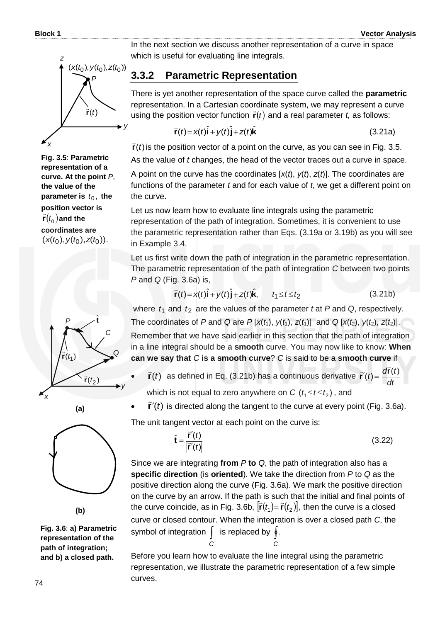

**Fig. 3.5**: **Parametric representation of a curve. At the point** *P*, **the value of the**  parameter is  $t_0$ , the **position vector is**   $\vec{r}(t_0)$  and the **coordinates are**   $(x(t_0), y(t_0), z(t_0))$ .







**Fig. 3.6**: **a) Parametric representation of the path of integration; and b) a closed path.**

In the next section we discuss another representation of a curve in space which is useful for evaluating line integrals.

### **3.3.2 Parametric Representation**

There is yet another representation of the space curve called the **parametric** representation. In a Cartesian coordinate system, we may represent a curve representation. In a cartesian escribilities system, we may represent a set<br>using the position vector function  $\vec{r}(t)$  and a real parameter  $t$ , as follows:

$$
\vec{\mathbf{r}}(t) = x(t)\hat{\mathbf{i}} + y(t)\hat{\mathbf{j}} + z(t)\hat{\mathbf{k}} \tag{3.21a}
$$

 $\vec{\mathbf{r}}(t)$  is the position vector of a point on the curve, as you can see in Fig. 3.5. As the value of *t* changes, the head of the vector traces out a curve in space.

A point on the curve has the coordinates [*x*(*t*), *y*(*t*), *z*(*t*)]. The coordinates are functions of the parameter *t* and for each value of *t*, we get a different point on the curve.

Let us now learn how to evaluate line integrals using the parametric representation of the path of integration. Sometimes, it is convenient to use the parametric representation rather than Eqs. (3.19a or 3.19b) as you will see in Example 3.4.

Let us first write down the path of integration in the parametric representation. The parametric representation of the path of integration *C* between two points *P* and *Q* (Fig. 3.6a) is,

$$
\vec{r}(t) = x(t)\hat{i} + y(t)\hat{j} + z(t)\hat{k}, \qquad t_1 \le t \le t_2
$$
 (3.21b)

where  $t_1$  and  $t_2$  are the values of the parameter  $t$  at  $P$  and  $Q$ , respectively. The coordinates of *P* and *Q* are  $P$  [ $x(t_1)$ ,  $y(t_1)$ ,  $z(t_1)$ ] and *Q* [ $x(t_2)$ ,  $y(t_2)$ ,  $z(t_2)$ ]. Remember that we have said earlier in this section that the path of integration in a line integral should be a **smooth** curve. You may now like to know: **When can we say that** *C* **is a smooth curve**? *C* is said to be a **smooth curve** if

- $\vec{r}(t)$  $\Rightarrow$  as defined in Eq. (3.21b) has a continuous derivative *dt*  $\vec{r}'(t) = \frac{d\vec{r}(t)}{dt}$  $\vec{r}'(t) = \frac{d\vec{r}}{dt}$ which is not equal to zero anywhere on  $C$   $(t_1 \!\leq\! t \!\leq\! t_2)$  , and
- $\vec{r}'(t)$  $\vec{r}'(t)$  is directed along the tangent to the curve at every point (Fig. 3.6a).

The unit tangent vector at each point on the curve is:

$$
\tilde{\mathbf{t}} = \frac{\vec{\mathbf{r}}'(t)}{|\vec{\mathbf{r}}'(t)|}
$$
(3.22)

Since we are integrating **from** *P* **to** *Q*, the path of integration also has a **specific direction** (is **oriented**). We take the direction from *P* to *Q* as the positive direction along the curve (Fig. 3.6a). We mark the positive direction on the curve by an arrow. If the path is such that the initial and final points of the curve coincide, as in Fig. 3.6b,  $[\vec{r}(t_1) = \vec{r}(t_2)]$ , then the curve is a closed curve or closed contour. When the integration is over a closed path *C*, the symbol of integration  $\int$  is replaced by  $\oint$ . *C C*

Before you learn how to evaluate the line integral using the parametric representation, we illustrate the parametric representation of a few simple curves.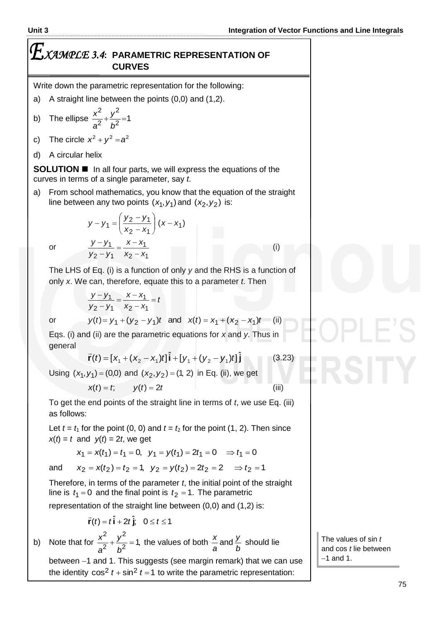# *XAMPLE 3.4***: PARAMETRIC REPRESENTATION OF CURVES**

Write down the parametric representation for the following:

- a) A straight line between the points (0,0) and (1,2).
- b) The ellipse  $\frac{x}{a^2} + \frac{y}{b^2} = 1$ 2 2 2  $+\frac{y}{2}$  = *b y a x*
- c) The circle  $x^2 + y^2 = a^2$
- d) A circular helix

**SOLUTION I** In all four parts, we will express the equations of the curves in terms of a single parameter, say *t*.

a) From school mathematics, you know that the equation of the straight line between any two points  $(x_1, y_1)$  and  $(x_2, y_2)$  is:

$$
y-y_1 = \left(\frac{y_2 - y_1}{x_2 - x_1}\right)(x - x_1)
$$

$$
\frac{y - y_1}{y_2 - y_1} = \frac{x - x_1}{x_2 - x_1}
$$

or

The LHS of Eq. (i) is a function of only *y* and the RHS is a function of only *x*. We can, therefore, equate this to a parameter *t*. Then

$$
\frac{y-y_1}{y_2-y_1} = \frac{x-x_1}{x_2-x_1}
$$

or

 $y(t) = y_1 + (y_2 - y_1)t$  and  $x(t) = x_1 + (x_2 - x_1)t$  (ii)

Eqs. (i) and (ii) are the parametric equations for *x* and *y*. Thus in general  $\overline{a}$ 

 $=$  t

$$
\vec{r}(t) = [x_1 + (x_2 - x_1)t]\hat{i} + [y_1 + (y_2 - y_1)t]\hat{j}
$$
(3.23)

Using  $(x_1, y_1) = (0,0)$  and  $(x_2, y_2) = (1, 2)$  in Eq. (ii), we get

$$
x(t) = t; \qquad y(t) = 2t \tag{iii}
$$

To get the end points of the straight line in terms of *t*, we use Eq. (iii) as follows:

Let  $t = t_1$  for the point (0, 0) and  $t = t_2$  for the point (1, 2). Then since  $x(t) = t$  and  $y(t) = 2t$ , we get

$$
x_1 = x(t_1) = t_1 = 0
$$
,  $y_1 = y(t_1) = 2t_1 = 0$   $\Rightarrow t_1 = 0$ 

and

Therefore, in terms of the parameter *t*, the initial point of the straight line is  $t_1 = 0$  and the final point is  $t_2 = 1$ . The parametric

 $x_2 = x(t_2) = t_2 = 1$ ,  $y_2 = y(t_2) = 2t_2 = 2$   $\Rightarrow t_2 = 1$ 

representation of the straight line between (0,0) and (1,2) is:

 $\frac{x^2}{2} + \frac{y^2}{2} = 1$ , the values of both

$$
\vec{r}(t) = t\hat{i} + 2t\hat{j}; \quad 0 \le t \le 1
$$

2

 $+\frac{y}{2}$  =

*y*

2

b) Note that for  $\frac{x}{a^2} + \frac{y}{b^2} = 1$ , 2 *b a b a* between -1 and 1. This suggests (see margin remark) that we can use the identity  $\cos^2 t + \sin^2 t = 1$  to write the parametric representation:

*y*

 $\frac{x}{x}$  and  $\frac{y}{x}$  should lie

The values of sin *t* and cos *t* lie between  $-1$  and 1.

(i)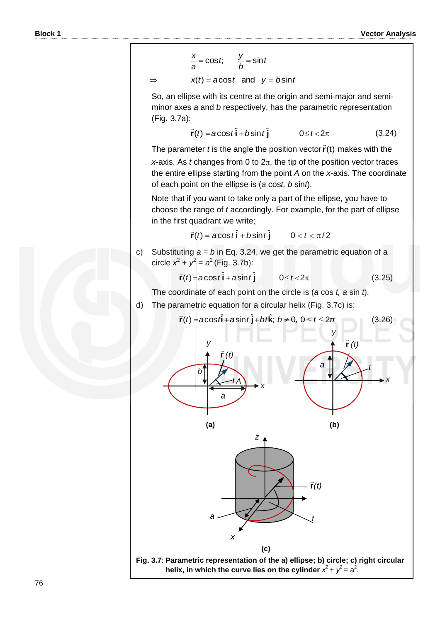$$
\frac{x}{a} = \cos t; \qquad \frac{y}{b} = \sin t
$$

$$
x(t) = a\cos t \quad \text{and} \quad y = b\sin t
$$

 $\Rightarrow$ 

So, an ellipse with its centre at the origin and semi-major and semiminor axes *a* and *b* respectively, has the parametric representation (Fig. 3.7a):

$$
\vec{r}(t) = a\cos t \hat{i} + b\sin t \hat{j} \qquad 0 \le t < 2\pi
$$
 (3.24)

The parameter *t* is the angle the position vector  $\vec{r}(t)$  makes with the

*x*-axis. As *t* changes from 0 to  $2\pi$ , the tip of the position vector traces the entire ellipse starting from the point *A* on the *x*-axis. The coordinate of each point on the ellipse is (*a* cos*t, b* sin*t*).

Note that if you want to take only a part of the ellipse, you have to choose the range of *t* accordingly. For example, for the part of ellipse in the first quadrant we write;

$$
\vec{r}(t) = \mathbf{acost} \hat{\mathbf{i}} + b\sin t \hat{\mathbf{j}} \qquad 0 < t < \pi/2
$$

c) Substituting  $a = b$  in Eq. 3.24, we get the parametric equation of a circle  $x^2 + y^2 = a^2$  (Fig. 3.7b):

$$
\vec{r}(t) = a\cos t \hat{i} + a\sin t \hat{j} \qquad 0 \le t < 2\pi
$$
 (3.25)

The coordinate of each point on the circle is (*a* cos *t, a* sin *t*).

d) The parametric equation for a circular helix (Fig. 3.7c) is:



76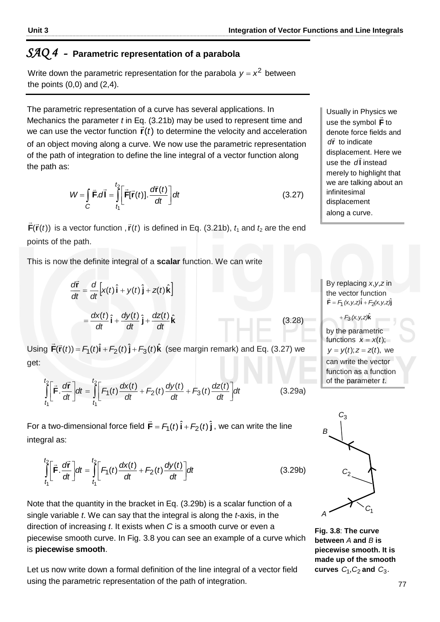# $\mathit{SAQ4}\,$  - Parametric representation of a parabola

Write down the parametric representation for the parabola  $y = x^2$  between the points  $(0,0)$  and  $(2,4)$ .

The parametric representation of a curve has several applications. In Mechanics the parameter *t* in Eq. (3.21b) may be used to represent time and we can use the vector function  $\vec{r}(t)$  to determine the velocity and acceleration of an object moving along a curve. We now use the parametric representation of the path of integration to define the line integral of a vector function along the path as:  $\overline{\phantom{a}}$ 

$$
W = \int_{C} \vec{F} \cdot d\vec{l} = \int_{t_1}^{t_2} \left[ \vec{F}[\vec{r}(t)]. \frac{d\vec{r}(t)}{dt} \right] dt
$$
 (3.27)

 $\mathbf{F}(\vec{\mathbf{r}}(t))$  $\vec{\mathsf{F}}(\vec{\mathsf{r}}(t))$  is a vector function ,  $\vec{\mathsf{r}}(t)$  is defined in Eq. (3.21b),  $t_{\text{1}}$  and  $t_{\text{2}}$  are the end points of the path.

This is now the definite integral of a **scalar** function. We can write

$$
\frac{d\vec{r}}{dt} = \frac{d}{dt} \left[ x(t) \hat{i} + y(t) \hat{j} + z(t) \hat{k} \right]
$$

$$
= \frac{dx(t)}{dt} \hat{i} + \frac{dy(t)}{dt} \hat{j} + \frac{dz(t)}{dt} \hat{k}
$$

Using  $\vec{F}(\vec{r}(t)) = F_1(t)\hat{i} + F_2(t)\hat{j} + F_3(t)\hat{k}$  $\vec{\mathsf{F}}(\vec{\mathsf{r}}(t))$  =  $F_1(t)\hat{\mathsf{i}}$  +  $F_2(t)\hat{\mathsf{j}}$  +  $F_3(t)\hat{\mathsf{k}}$  (see margin remark) and Eq. (3.27) we get:

$$
\int_{t_1}^{t_2} \left[ \vec{F} \cdot \frac{d\vec{r}}{dt} \right] dt = \int_{t_1}^{t_2} \left[ F_1(t) \frac{dx(t)}{dt} + F_2(t) \frac{dy(t)}{dt} + F_3(t) \frac{dz(t)}{dt} \right] dt
$$
\n(3.29a)

For a two-dimensional force field  $\vec{\mathsf{F}}$  =  $\mathsf{F}_\mathsf{T}(t) \, \hat{\mathsf{i}}$  +  $\mathsf{F}_\mathsf{2}(t) \, \hat{\mathsf{j}}$  $\overline{a}$ , we can write the line integral as:

$$
\int_{t_1}^{t_2} \left[ \vec{F} \cdot \frac{d\vec{r}}{dt} \right] dt = \int_{t_1}^{t_2} \left[ F_1(t) \frac{dx(t)}{dt} + F_2(t) \frac{dy(t)}{dt} \right] dt \tag{3.29b}
$$

Note that the quantity in the bracket in Eq. (3.29b) is a scalar function of a single variable *t*. We can say that the integral is along the *t-*axis, in the direction of increasing *t*. It exists when *C* is a smooth curve or even a piecewise smooth curve. In Fig. 3.8 you can see an example of a curve which is **piecewise smooth**.

Let us now write down a formal definition of the line integral of a vector field using the parametric representation of the path of integration.

Usually in Physics we use the symbol **F** to denote force fields and dr<sup>i</sup> to indicate displacement. Here we use the **l** *d* instead merely to highlight that we are talking about an infinitesimal displacement along a curve.

By replacing *x*,*y*,*z* in the vector function  $\vec{F} = F_1(x, y, z)\hat{i} + F_2(x, y, z)\hat{j}$ 

 $+ F_3 (x, y, z) \hat{k}$ 

(3.28)

by the parametric functions  $x = x(t)$ ;  $y = y(t); z = z(t)$ , we can write the vector function as a function of the parameter *t*.



**Fig. 3.8**: **The curve between** *A* **and** *B* **is piecewise smooth. It is made up of the smooth**  curves  $C_1$ ,  $C_2$  and  $C_3$ .

*t*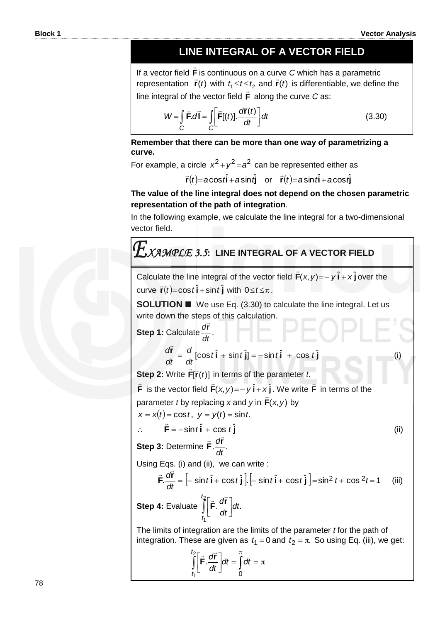$\overline{\phantom{a}}$ 

# **LINE INTEGRAL OF A VECTOR FIELD**

If a vector field **F**  $\overline{a}$ is continuous on a curve *C* which has a parametric representation  $\vec{r}(t)$  with  $t_1 \le t \le t_2$  and  $\vec{r}(t)$  is differentiable, we define the line integral of the vector field **F**  $\rightarrow$ along the curve *C* as:

$$
W = \int_{C} \vec{F} \cdot d\vec{l} = \int_{C} \left[ \vec{F}[(t)]. \frac{d\vec{r}(t)}{dt} \right] dt
$$
 (3.30)

**Remember that there can be more than one way of parametrizing a curve.**

For example, a circle  $x^2 + y^2 = a^2$  can be represented either as

 $\vec{r}(t) = a\cos t\hat{i} + a\sin t\hat{j}$  or  $\vec{r}(t) = a\sin t\hat{i} + a\cos t\hat{j}$ 

### **The value of the line integral does not depend on the chosen parametric representation of the path of integration**.

In the following example, we calculate the line integral for a two-dimensional vector field.

# *XAMPLE 3.5***: LINE INTEGRAL OF A VECTOR FIELD**

Calculate the line integral of the vector field  $\vec{F}(x, y) = -y\hat{i} + x\hat{j}$  $\overline{1}$ over the  $curve \space \space \vec{r}(t) = cost \hat{i} + sin \space t \hat{j} \space with \space 0 \leq t \leq \pi.$ 

**SOLUTION We use Eq. (3.30) to calculate the line integral. Let us** write down the steps of this calculation.

Step 1: Calculate 
$$
\frac{d\vec{r}}{dt}
$$
.  
\n $\frac{d\vec{r}}{dt} = \frac{d}{dt} [\cos t \hat{i} + \sin t \hat{j}] = -\sin t \hat{i} + \cos t \hat{j}$  (i)  
\nStep 2: Write  $\vec{F}[\vec{r}(t)]$  in terms of the parameter *t*.  
\n $\vec{F}$  is the vector field  $\vec{F}(x, y) = -y \hat{i} + x \hat{j}$ . We write  $\vec{F}$  in terms of the  
\nparameter *t* by replacing *x* and *y* in  $\vec{F}(x, y)$  by  
\n $x = x(t) = \cos t, y = y(t) = \sin t$ .  
\n $\therefore \quad \vec{F} = -\sin t \hat{i} + \cos t \hat{j}$  (ii)  
\nStep 3: Determine  $\vec{F} \cdot \frac{d\vec{r}}{dt}$ .  
\nUsing Eqs. (i) and (ii), we can write :  
\n $\vec{F} \cdot \frac{d\vec{r}}{dt} = [-\sin t \hat{i} + \cos t \hat{j}] [-\sin t \hat{i} + \cos t \hat{j}] = \sin^2 t + \cos^2 t = 1$  (iii)  
\nStep 4: Evaluate  $\int_{t_1}^{t_2} [\vec{F} \cdot \frac{d\vec{r}}{dt}] dt$ .

The limits of integration are the limits of the parameter *t* for the path of integration. These are given as  $t_1 = 0$  and  $t_2 = \pi$ . So using Eq. (iii), we get:

$$
\int_{t_1}^{t_2} \left[ \vec{F} \cdot \frac{d\vec{r}}{dt} \right] dt = \int_{0}^{\pi} dt = \pi
$$

*dt*

1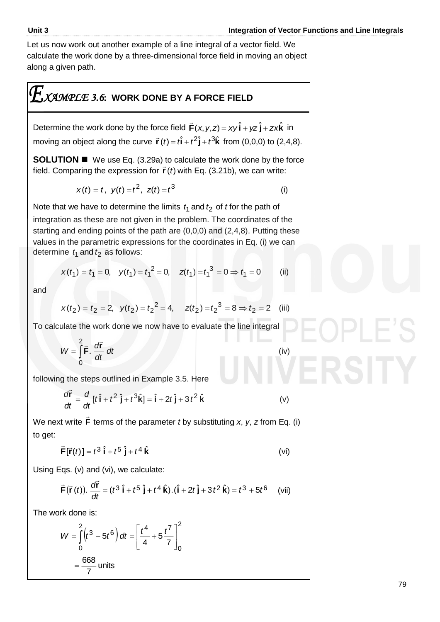Let us now work out another example of a line integral of a vector field. We calculate the work done by a three-dimensional force field in moving an object along a given path.

# *XAMPLE 3.6***: WORK DONE BY A FORCE FIELD**

Determine the work done by the force field  $\vec{F}(x, y, z) = xy\hat{i} + yz\hat{j} + zx\hat{k}$  $\overline{a}$ in moving an object along the curve  $\vec{r}(t) = t\hat{i} + t^2\hat{j} + t^3\hat{k}$  from (0,0,0) to (2,4,8).

**SOLUTION**  We use Eq. (3.29a) to calculate the work done by the force **SULD TIUM**  $=$  We doe Eq. (0.20d) to calculate the work done by the field. Comparing the expression for  $\vec{r}$  (*t*) with Eq. (3.21b), we can write:

$$
x(t) = t, \ \ y(t) = t^2, \ \ z(t) = t^3 \tag{i}
$$

Note that we have to determine the limits  $t_1$  and  $t_2$  of *t* for the path of integration as these are not given in the problem. The coordinates of the starting and ending points of the path are (0,0,0) and (2,4,8). Putting these values in the parametric expressions for the coordinates in Eq. (i) we can determine  $t_1$  and  $t_2$  as follows:

$$
x(t_1) = t_1 = 0
$$
,  $y(t_1) = t_1^2 = 0$ ,  $z(t_1) = t_1^3 = 0 \Rightarrow t_1 = 0$  (ii)

and

$$
x(t_2) = t_2 = 2
$$
,  $y(t_2) = t_2^2 = 4$ ,  $z(t_2) = t_2^3 = 8 \Rightarrow t_2 = 2$  (iii)

To calculate the work done we now have to evaluate the line integral

$$
W = \int_{0}^{2} \vec{F} \cdot \frac{d\vec{r}}{dt} dt
$$
 (iv)

following the steps outlined in Example 3.5. Here

$$
\frac{d\vec{r}}{dt} = \frac{d}{dt}[t\hat{i} + t^2\hat{j} + t^3\hat{k}] = \hat{i} + 2t\hat{j} + 3t^2\hat{k}
$$
 (v)

We next write **F**  $\rightarrow$ terms of the parameter *t* by substituting *x*, *y*, *z* from Eq. (i) to get:

$$
\vec{\mathbf{F}}[\vec{\mathbf{r}}(t)] = t^3 \hat{\mathbf{i}} + t^5 \hat{\mathbf{j}} + t^4 \hat{\mathbf{k}} \tag{vi}
$$

Using Eqs. (v) and (vi), we calculate:

eigs. (v) and (vi), we calculate:  
\n
$$
\vec{F}(\vec{r}(t)). \frac{d\vec{r}}{dt} = (t^3 \hat{i} + t^5 \hat{j} + t^4 \hat{k}).(\hat{i} + 2t \hat{j} + 3t^2 \hat{k}) = t^3 + 5t^6
$$
 (vii)

The work done is:

rk done is:  
\n
$$
W = \int_{0}^{2} (t^3 + 5t^6) dt = \left[ \frac{t^4}{4} + 5 \frac{t^7}{7} \right]_{0}^{2}
$$
\n
$$
= \frac{668}{7} \text{ units}
$$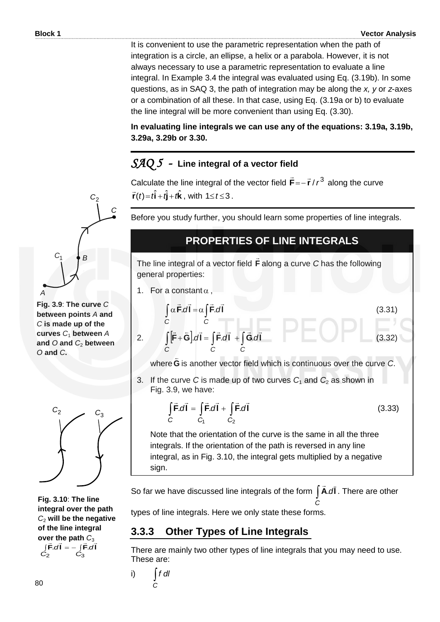It is convenient to use the parametric representation when the path of integration is a circle, an ellipse, a helix or a parabola. However, it is not always necessary to use a parametric representation to evaluate a line integral. In Example 3.4 the integral was evaluated using Eq. (3.19b). In some questions, as in SAQ 3, the path of integration may be along the *x, y* or *z*-axes or a combination of all these. In that case, using Eq. (3.19a or b) to evaluate the line integral will be more convenient than using Eq. (3.30).

**In evaluating line integrals we can use any of the equations: 3.19a, 3.19b, 3.29a, 3.29b or 3.30.** 

# *SAQ 5 -* **Line integral of a vector field**

Calculate the line integral of the vector field  $\vec{F} = -\vec{r} / r^3$  $\vec{\mathsf{F}}$ = $- \vec{\mathsf{r}}$  /  $r^3$  along the curve  $\vec{r}(t) = t\hat{i} + t\hat{j} + t\hat{k}$ , with  $1 \le t \le 3$ .

Before you study further, you should learn some properties of line integrals.

## **PROPERTIES OF LINE INTEGRALS**

The line integral of a vector field **F**  $\Rightarrow$ along a curve *C* has the following general properties:

1. For a constant  $\alpha$ ,

2.

I

I

I

 $\overline{\phantom{a}}$ 

$$
\int_{C} \alpha \vec{F} \cdot d\vec{l} = \alpha \int_{C} \vec{F} \cdot d\vec{l}
$$
\n(3.31)  
\n
$$
\int_{C} [\vec{F} + \vec{G}] \cdot d\vec{l} = \int_{C} \vec{F} \cdot d\vec{l} + \int_{C} \vec{G} \cdot d\vec{l}
$$
\n(3.32)

where **G**  $\overline{a}$ is another vector field which is continuous over the curve *C*.

3. If the curve C is made up of two curves  $C_1$  and  $C_2$  as shown in Fig. 3.9, we have:

$$
\int_{C} \vec{F} \cdot d\vec{l} = \int_{C_1} \vec{F} \cdot d\vec{l} + \int_{C_2} \vec{F} \cdot d\vec{l}
$$
\n(3.33)

Note that the orientation of the curve is the same in all the three integrals. If the orientation of the path is reversed in any line integral, as in Fig. 3.10, the integral gets multiplied by a negative sign.

So far we have discussed line integrals of the form  $\int$  **Ã**. $d$ **l** *C*  $\rightarrow$ . There are other

types of line integrals. Here we only state these forms.

### **3.3.3 Other Types of Line Integrals**

There are mainly two other types of line integrals that you may need to use. These are:

i) *C f dl*

*A C*1 *B*

*C*2

*C*

**Fig. 3.9**: **The curve** *C* **between points** *A* **and**  *C* **is made up of the curves** *C*<sup>1</sup> **between** *A* **and** *O* **and** *C*<sup>2</sup> **between**  *O* **and** *C***.**



**Fig. 3.10**: **The line integral over the path**  *C*<sup>2</sup> **will be the negative of the line integral over the path**  $C_3$  $\int \vec{F} \cdot d\vec{l} = - \int \vec{F} \cdot d\vec{l}$ 2 3 *C C*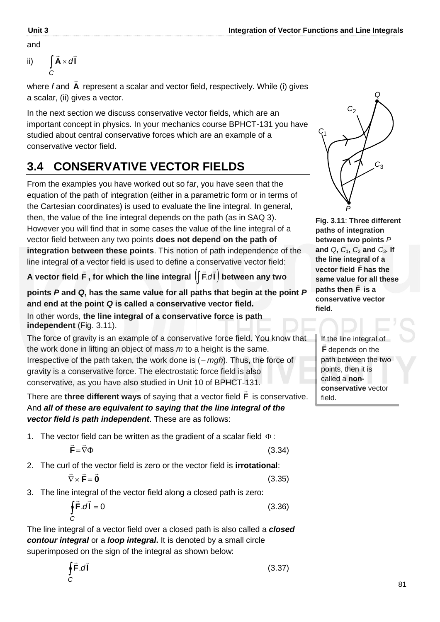ii) 
$$
\int_{C} \vec{A} \times d\vec{l}
$$

where *f* and **A**  $\overline{a}$ represent a scalar and vector field, respectively. While (i) gives a scalar, (ii) gives a vector.

In the next section we discuss conservative vector fields, which are an important concept in physics. In your mechanics course BPHCT-131 you have studied about central conservative forces which are an example of a conservative vector field.

# **3.4 CONSERVATIVE VECTOR FIELDS**

From the examples you have worked out so far, you have seen that the equation of the path of integration (either in a parametric form or in terms of the Cartesian coordinates) is used to evaluate the line integral. In general, then, the value of the line integral depends on the path (as in SAQ 3). However you will find that in some cases the value of the line integral of a vector field between any two points **does not depend on the path of integration between these points**. This notion of path independence of the line integral of a vector field is used to define a conservative vector field:

**A vector field F**  $\rightarrow$ , for which the line integral  $\left(\right| \vec{F} \mathcal{A} \vec{\bm{l}}\right)$  **k**  $\overline{z}$   $\overline{z}$ .*d*  **between any two** 

**points** *P* **and** *Q***, has the same value for all paths that begin at the point** *P* **and end at the point** *Q* **is called a conservative vector field.** 

In other words, **the line integral of a conservative force is path independent** (Fig. 3.11).

The force of gravity is an example of a conservative force field. You know that the work done in lifting an object of mass *m* to a height is the same. Irrespective of the path taken, the work done is ( *mgh*). Thus, the force of gravity is a conservative force. The electrostatic force field is also conservative, as you have also studied in Unit 10 of BPHCT-131.

There are **three different ways** of saying that a vector field **F**  $\rightarrow$  is conservative. And *all of these are equivalent to saying that the line integral of the vector field is path independent*. These are as follows:

1. The vector field can be written as the gradient of a scalar field  $\Phi$ :

$$
\vec{\mathbf{F}} = \vec{\nabla}\Phi
$$

(3.34)

2. The curl of the vector field is zero or the vector field is **irrotational**:

$$
\vec{\nabla} \times \vec{\mathbf{F}} = \vec{\mathbf{0}}
$$

(3.35)

3. The line integral of the vector field along a closed path is zero:

$$
\oint_C \vec{F} \cdot d\vec{l} = 0
$$
\n(3.36)

The line integral of a vector field over a closed path is also called a *closed contour integral* or a *loop integral***.** It is denoted by a small circle superimposed on the sign of the integral as shown below:

$$
\oint_C \vec{F} \cdot d\vec{l} \tag{3.37}
$$



**Fig. 3.11**: **Three different paths of integration between two points** *P* and  $Q$ ,  $C_1$ ,  $C_2$  and  $C_3$ . If **the line integral of a vector field F has the same value for all these paths then F is a conservative vector field.**

If the line integral of **F** depends on the path between the two points, then it is called a **nonconservative** vector field.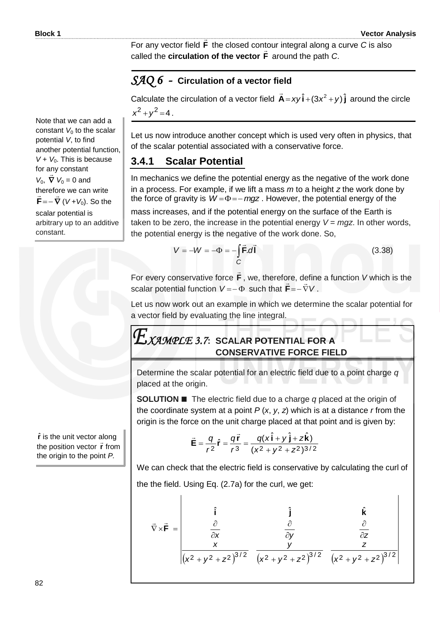$\overline{1}$ 

For any vector field **F** <u>...</u> the closed contour integral along a curve *C* is also called the **circulation of the vector F**  $\frac{1}{1}$ around the path *C*.

### *SAQ 6 -* **Circulation of a vector field**

Calculate the circulation of a vector field  $\vec{A} = xy \hat{i} + (3x^2 + y) \hat{j}$  $\overline{a}$  around the circle  $x^2 + y^2 = 4$ .

Let us now introduce another concept which is used very often in physics, that of the scalar potential associated with a conservative force.

## **3.4.1 Scalar Potential**

In mechanics we define the potential energy as the negative of the work done in a process. For example, if we lift a mass *m* to a height *z* the work done by the force of gravity is  $W = \Phi = -mgz$ . However, the potential energy of the

mass increases, and if the potential energy on the surface of the Earth is taken to be zero, the increase in the potential energy  $V = mqz$ . In other words, the potential energy is the negative of the work done. So,

$$
V = -W = -\Phi = -\int_{C} \vec{F} \cdot d\vec{l}
$$
 (3.38)

For every conservative force **F**  $\rightarrow$ , we, therefore, define a function *V* which is the scalar potential function  $V = -\Phi$  such that  $\mathbf{F} = -\nabla V$ ט , טכ<br>ב ⊥  $\mathbf{F} = - \nabla V$ .

Let us now work out an example in which we determine the scalar potential for a vector field by evaluating the line integral.

# *XAMPLE 3.7***: SCALAR POTENTIAL FOR A CONSERVATIVE FORCE FIELD**

Determine the scalar potential for an electric field due to a point charge *q* placed at the origin.

**SOLUTION ■** The electric field due to a charge *q* placed at the origin of the coordinate system at a point  $P(x, y, z)$  which is at a distance *r* from the origin is the force on the unit charge placed at that point and is given by:

$$
\vec{E} = \frac{q}{r^2}\hat{r} = \frac{q\vec{r}}{r^3} = \frac{q(x\hat{i} + y\hat{j} + z\hat{k})}{(x^2 + y^2 + z^2)^{3/2}}
$$

We can check that the electric field is conservative by calculating the curl of the the field. Using Eq. (2.7a) for the curl, we get:

$$
\vec{\nabla} \times \vec{F} = \begin{vmatrix} \hat{\mathbf{i}} & \hat{\mathbf{j}} & \hat{\mathbf{k}} \\ \frac{\partial}{\partial x} & \frac{\partial}{\partial y} & \frac{\partial}{\partial z} \\ \frac{x}{(x^2 + y^2 + z^2)^{3/2}} & \frac{y}{(x^2 + y^2 + z^2)^{3/2}} & \frac{z}{(x^2 + y^2 + z^2)^{3/2}} \end{vmatrix}
$$

Note that we can add a constant  $V_0$  to the scalar potential *V*, to find another potential function,  $V + V_0$ . This is because for any constant<br>. . <del>.</del> . . .  $V_0$ ,  $\nabla$   $V_0 = 0$  and therefore we can write  $\mathbf{F} = -\nabla (V + V_0)$ . So the scalar potential is arbitrary up to an additive

constant.

**r** ˆ is the unit vector along **the position vector <b>r** from

the origin to the point *P.*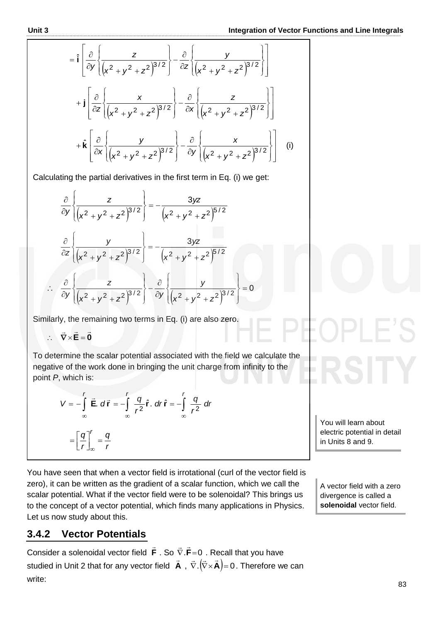$$
= \hat{\mathbf{i}} \left[ \frac{\partial}{\partial y} \left\{ \frac{z}{(x^2 + y^2 + z^2)^{3/2}} \right\} - \frac{\partial}{\partial z} \left\{ \frac{y}{(x^2 + y^2 + z^2)^{3/2}} \right\} \right]
$$
  
+ 
$$
\mathbf{i} \left[ \frac{\partial}{\partial z} \left\{ \frac{x}{(x^2 + y^2 + z^2)^{3/2}} \right\} - \frac{\partial}{\partial x} \left\{ \frac{z}{(x^2 + y^2 + z^2)^{3/2}} \right\} \right]
$$
  
+ 
$$
\hat{\mathbf{k}} \left[ \frac{\partial}{\partial x} \left\{ \frac{y}{(x^2 + y^2 + z^2)^{3/2}} \right\} - \frac{\partial}{\partial y} \left\{ \frac{x}{(x^2 + y^2 + z^2)^{3/2}} \right\} \right]
$$
 (i)

Calculating the partial derivatives in the first term in Eq. (i) we get:

$$
\frac{\partial}{\partial y}\left\{\frac{z}{(x^2+y^2+z^2)^{3/2}}\right\} = -\frac{3yz}{(x^2+y^2+z^2)^{5/2}}
$$

$$
\frac{\partial}{\partial z}\left\{\frac{y}{(x^2+y^2+z^2)^{3/2}}\right\} = -\frac{3yz}{(x^2+y^2+z^2)^{5/2}}
$$

$$
\therefore \frac{\partial}{\partial y}\left\{\frac{z}{(x^2+y^2+z^2)^{3/2}}\right\} - \frac{\partial}{\partial y}\left\{\frac{y}{(x^2+y^2+z^2)^{3/2}}\right\} = 0
$$

Similarly, the remaining two terms in Eq. (i) are also zero.

 $\therefore \quad \nabla \times \mathbf{E} = \mathbf{0}$  $\pm$   $\pm$   $\pm$  $\nabla \times E =$ 

To determine the scalar potential associated with the field we calculate the negative of the work done in bringing the unit charge from infinity to the point *P*, which is:

$$
V = -\int_{\infty}^{r} \vec{E} \cdot d\vec{r} = -\int_{\infty}^{r} \frac{q}{r^{2}} \hat{r} \cdot dr \hat{r} = -\int_{\infty}^{r} \frac{q}{r^{2}} dr
$$

$$
= \left[ \frac{q}{r} \right]_{\infty}^{r} = \frac{q}{r}
$$

You have seen that when a vector field is irrotational (curl of the vector field is zero), it can be written as the gradient of a scalar function, which we call the scalar potential. What if the vector field were to be solenoidal? This brings us to the concept of a vector potential, which finds many applications in Physics. Let us now study about this.

You will learn about electric potential in detail

in Units 8 and 9.

A vector field with a zero divergence is called a **solenoidal** vector field.

#### $3.4.2$ **3.4.2 Vector Potentials**

Consider a solenoidal vector field **F**  $\rightarrow$ . So  $\nabla$  **F**=0  $\pm$  = . Recall that you have studied in Unit 2 that for any vector field **A**  $\vec{A}$ ,  $\vec{\nabla} \cdot (\vec{\nabla} \times \vec{A}) = 0$ . Therefore we can write: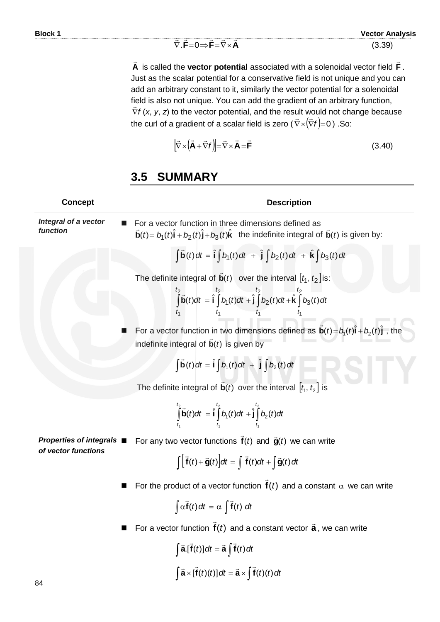$\nabla$ .F=0 $\Rightarrow$ F= $\nabla\times$ A  $\overline{z}$   $\overline{z}$   $\overline{z}$   $\overline{z}$   $\overline{z}$   $\overline{z}$  $\nabla \cdot \mathbf{F} = 0 \Longrightarrow \mathbf{F} = \nabla \times$ 

**A**  $\overline{a}$  is called the **vector potential** associated with a solenoidal vector field **F**  $\overline{a}$ . Just as the scalar potential for a conservative field is not unique and you can add an arbitrary constant to it, similarly the vector potential for a solenoidal field is also not unique. You can add the gradient of an arbitrary function, *f*  $\frac{1}{x}$ (*x*, *y*, *z*) to the vector potential, and the result would not change because the curl of a gradient of a scalar field is zero  $(\vec{\nabla} \times (\vec{\nabla} f) = 0$ ) .So:

$$
\left[\vec{\nabla}\times\left(\vec{\mathbf{A}}+\vec{\nabla}f\right)\right]=\vec{\nabla}\times\vec{\mathbf{A}}=\vec{\mathbf{F}}\tag{3.40}
$$

# **3.5 SUMMARY**

| <b>Concept</b>                   | <b>Description</b>                                                                                                                                                                                                      |
|----------------------------------|-------------------------------------------------------------------------------------------------------------------------------------------------------------------------------------------------------------------------|
| Integral of a vector<br>function | For a vector function in three dimensions defined as<br>$\vec{\mathbf{b}}(t) = b_1(t)\hat{\mathbf{i}} + b_2(t)\hat{\mathbf{j}} + b_3(t)\hat{\mathbf{k}}$ the indefinite integral of $\vec{\mathbf{b}}(t)$ is given by:  |
|                                  | $\int \vec{b}(t) dt = \hat{i} \int b_1(t) dt + \hat{j} \int b_2(t) dt + \hat{k} \int b_3(t) dt$                                                                                                                         |
|                                  | The definite integral of $\vec{b}(t)$ over the interval $[t_1, t_2]$ is:<br>$\int_{t_1}^{t_2} \vec{b}(t)dt = \hat{i} \int_{t_1}^{t_2} b_1(t)dt + \hat{j} \int_{t_1}^{t_2} b_2(t)dt + \hat{k} \int_{t_1}^{t_2} b_3(t)dt$ |
|                                  |                                                                                                                                                                                                                         |
|                                  | For a vector function in two dimensions defined as $\vec{\mathbf{b}}(t) = b_1(t)\hat{\mathbf{i}} + b_2(t)\hat{\mathbf{j}}$ , the<br>indefinite integral of $\mathbf{b}(t)$ is given by                                  |
|                                  | $\int \vec{b}(t) dt = \hat{i} \int b_1(t) dt + \hat{j} \int b_2(t) dt$                                                                                                                                                  |
|                                  | The definite integral of $\vec{b}(t)$ over the interval $[t_1, t_2]$ is                                                                                                                                                 |
|                                  | $\int_{t_1}^{t_2} \vec{b}(t)dt = \hat{i}\int_{t_1}^{t_2} b_1(t)dt + \hat{j}\int_{t_1}^{t_2} b_2(t)dt$                                                                                                                   |
| Properties of integrals ■        | For any two vector functions $\mathbf{f}(t)$ and $\mathbf{\vec{g}}(t)$ we can write                                                                                                                                     |
| of vector functions              | $\int \left[ \vec{f}(t) + \vec{g}(t) \right] dt = \int \vec{f}(t) dt + \int \vec{g}(t) dt$                                                                                                                              |
|                                  | For the product of a vector function $f(t)$ and a constant $\alpha$ we can write                                                                                                                                        |
|                                  | $\int \alpha \vec{f}(t) dt = \alpha \int \vec{f}(t) dt$                                                                                                                                                                 |
|                                  | For a vector function $f(t)$ and a constant vector $\vec{a}$ , we can write                                                                                                                                             |
|                                  | $\int \vec{a}.\vec{f}(t) dt = \vec{a} \int \vec{f}(t) dt$                                                                                                                                                               |
| OΛ                               | $\int \vec{a} \times [\vec{f}(t)(t)] dt = \vec{a} \times \int \vec{f}(t)(t) dt$                                                                                                                                         |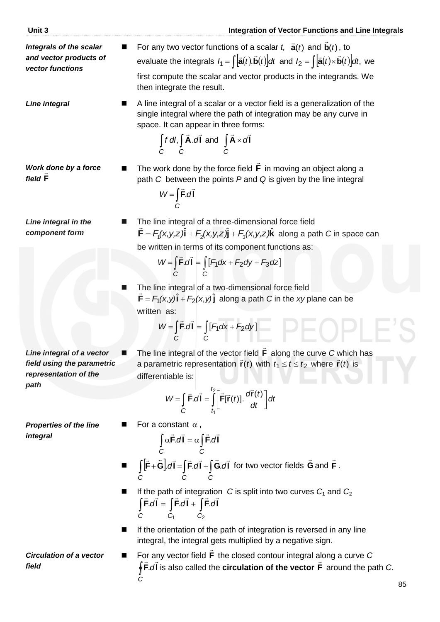then integrate the result. **Line integral** ■ A line integral of a scalar or a vector field is a generalization of the single integral where the path of integration may be any curve in space. It can appear in three forms:

first compute the scalar and vector products in the integrands. We

$$
\int_{C} f \, dl, \int_{C} \vec{A} \cdot d\vec{l} \text{ and } \int_{C} \vec{A} \times d\vec{l}
$$

For any two vector functions of a scalar  $t$ ,  $\tilde{a}(t)$ 

*Work done by a force field*  **F**

$$
W = \int_{C} \vec{F} \cdot d\vec{l}
$$

evaluate the integrals

*Line integral in the component form*

The line integral of a three-dimensional force field  $\vec{F} = F_1(x, y, z)\hat{i} + F_2(x, y, z)\hat{j} + F_3(x, y, z)\hat{k}$  along a path *C* in space can be written in terms of its component functions as:

$$
W = \int_{C} \vec{F} \cdot d\vec{l} = \int_{C} \left[ F_1 dx + F_2 dy + F_3 dz \right]
$$

 $\blacksquare$  The line integral of a two-dimensional force field  $\vec{F} = F_1(x,y)\hat{i} + F_2(x,y)\hat{j}$  along a path *C* in the *xy* plane can be written as:

$$
W = \int_{C} \vec{F} \cdot d\vec{l} = \int_{C} [F_1 dx + F_2 dy]
$$

*Line integral of a vector field using the parametric representation of the path*

■ The line integral of the vector field **F**  $\rightarrow$ along the curve *C* which has a parametric representation  $\vec{r}(t)$  with  $t_1 \le t \le t_2$  where  $\vec{r}(t)$  is differentiable is:

$$
W = \int_{C} \vec{F} \cdot d\vec{l} = \int_{t_1}^{t_2} \left[ \vec{F}[\vec{r}(t)]. \frac{d\vec{r}(t)}{dt} \right] dt
$$

**For a constant**  $\alpha$ **,** 

*Properties of the line integral*

$$
\int_{C} \alpha \vec{F} \cdot d\vec{l} = \alpha \int_{C} \vec{F} \cdot d\vec{l}
$$

- $\overrightarrow{C}$  c<br>  $\int [\vec{F} + \vec{G}] \cdot d\vec{l} = \int \vec{F} \cdot d\vec{l} + \int$ *C CC*  $\mathsf{F} + \mathsf{G}$ | $d\mathsf{I} = |\mathsf{F} d\mathsf{I} + |\mathsf{G} d\mathsf{I}|$   $dI = |F.dI| + |G.dI$  for two vector fields G  $\rightarrow$ and **F**  $\rightarrow$ .
- If the path of integration *C* is split into two curves *C*<sub>1</sub> and *C*<sub>2</sub>  $\int \vec{F} \cdot d\vec{l} = \int \vec{F} \cdot d\vec{l} + \int \vec{F} \cdot d\vec{l}$ 1 C<sub>2</sub> *C C C*
- If the orientation of the path of integration is reversed in any line integral, the integral gets multiplied by a negative sign.

*Circulation of a vector field*

**For any vector field F**  $\Rightarrow$ the closed contour integral along a curve *C* ∲ F̃.ďĪ *C* וע<br>∸ → **:** dI is also called the **circulation of the vector F**  $\ddot{\ }$ around the path *C*.

The work done by the force field 
$$
\vec{F}
$$
 in moving an object along a

path 
$$
C
$$
 between the points  $P$  and  $Q$  is given by the line integral

$$
\mathsf{r}^{\mathsf{r}}\mathsf{r}^{\mathsf{r}}\mathsf{r}^{\mathsf{r}}\mathsf{r}^{\mathsf{r}}\mathsf{r}^{\mathsf{r}}\mathsf{r}^{\mathsf{r}}\mathsf{r}^{\mathsf{r}}\mathsf{r}^{\mathsf{r}}\mathsf{r}^{\mathsf{r}}\mathsf{r}^{\mathsf{r}}\mathsf{r}^{\mathsf{r}}\mathsf{r}^{\mathsf{r}}\mathsf{r}^{\mathsf{r}}\mathsf{r}^{\mathsf{r}}\mathsf{r}^{\mathsf{r}}\mathsf{r}^{\mathsf{r}}\mathsf{r}^{\mathsf{r}}\mathsf{r}^{\mathsf{r}}\mathsf{r}^{\mathsf{r}}\mathsf{r}^{\mathsf{r}}\mathsf{r}^{\mathsf{r}}\mathsf{r}^{\mathsf{r}}\mathsf{r}^{\mathsf{r}}\mathsf{r}^{\mathsf{r}}\mathsf{r}^{\mathsf{r}}\mathsf{r}^{\mathsf{r}}\mathsf{r}^{\mathsf{r}}\mathsf{r}^{\mathsf{r}}\mathsf{r}^{\mathsf{r}}\mathsf{r}^{\mathsf{r}}\mathsf{r}^{\mathsf{r}}\mathsf{r}^{\mathsf{r}}\mathsf{r}^{\mathsf{r}}\mathsf{r}^{\mathsf{r}}\mathsf{r}^{\mathsf{r}}\mathsf{r}^{\mathsf{r}}\mathsf{r}^{\mathsf{r}}\mathsf{r}^{\mathsf{r}}\mathsf{r}^{\mathsf{r}}\mathsf{r}^{\mathsf{r}}\mathsf{r}^{\mathsf{r}}\mathsf{r}^{\mathsf{r}}\mathsf{r}^{\mathsf{r}}\mathsf{r}^{\mathsf{r}}\mathsf{r}^{\mathsf{r}}\mathsf{r}^{\mathsf{r}}\mathsf{r}^{\mathsf{r}}\mathsf{r}^{\mathsf{r}}\mathsf{r}^{\mathsf{r}}\mathsf{r}^{\mathsf{r}}\mathsf{r}^{\mathsf{r}}\mathsf{r}^{\mathsf{r}}\mathsf{r}^{\mathsf{r}}\mathsf{r}^{\mathsf{r}}\mathsf{r}^{\mathsf{r}}\mathsf{r}^{\mathsf{r}}\mathsf{r}^{\mathsf{r}}\mathsf{r}^{\mathsf{r}}\mathsf{r}
$$

 $\vec{\mathbf{a}}(t)$  and  $\vec{\mathbf{b}}(t)$  $\overline{a}$ 

, to

we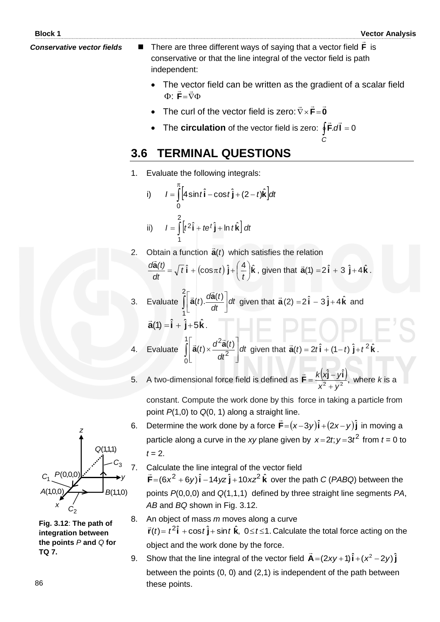- 
- **Conservative vector fields** There are three different ways of saying that a vector field **F**  $\mathbf{u}$ is conservative or that the line integral of the vector field is path independent:
	- The vector field can be written as the gradient of a scalar field  $\Phi$ : F= $\bar{\nabla}\Phi$ ں∪ں<br>≃ = **F**

*C*

- The curl of the vector field is zero:  $\vec{\nabla} \times \mathbf{F} = \mathbf{0}$  $\frac{1}{2}$   $\frac{1}{2}$   $\frac{1}{2}$  $\nabla \times \mathbf{F} =$
- The **circulation** of the vector field is zero:  $\oint$ **F**.d**i** = 0  $\pm$   $\pm$

# **3.6 TERMINAL QUESTIONS**

1. Evaluate the following integrals:

i) 
$$
I = \int_{0}^{\pi} \left[4\sin t \hat{\mathbf{i}} - \cos t \hat{\mathbf{j}} + (2 - t)\hat{\mathbf{k}}\right] dt
$$
  
ii) 
$$
I = \int_{1}^{2} \left[t^2 \hat{\mathbf{i}} + te^{t} \hat{\mathbf{j}} + \ln t \hat{\mathbf{k}}\right] dt
$$

2. Obtain a function  $\vec{a}(t)$  $\vec{a}(t)$  which satisfies the relation **i**  $\frac{d(t)}{dt} = \sqrt{t} \hat{i} + (\cos \pi t) \hat{j} + (\frac{4}{t}) \hat{k}$  $\left(\frac{4}{1}\right)$  $=\sqrt{t}\hat{i}+(\cos \pi t)\hat{j}+$  $t$ **i** +  $\cos \pi t$ *(t)d* l<br>C , given that  $\vec{a}(1) = 2\hat{i} + 3\hat{j} + 4\hat{k}$ .

*t*

 $\bigg)$  $\setminus$ 3. Evaluate  $\int_{1} \vec{a}(t) \cdot \frac{da(t)}{dt}$ J  $\overline{\mathsf{L}}$  $\frac{2}{\sqrt{2}}$ 1  $(t)$ .  $\frac{d\mathbf{\hat{a}}(t)}{dt}$  dt *dt*  $\vec{a}(t)$ .  $\frac{d\vec{a}(t)}{dt}$  $\frac{1}{2}$  da given that  $\vec{a}(2) = 2\hat{i} - 3\hat{j} + 4\hat{k}$ and  $\overline{a}$ 

$$
\vec{a}(1) = \hat{i} + \hat{j} + 5\hat{k}.
$$

*dt*

- 4. Evaluate  $\int_{0} \left| \vec{a}(t) \times \frac{d^{2}a(t)}{dt^{2}} \right|$  $\overline{\phantom{a}}$  $\overline{\phantom{a}}$ J L  $\mathbf{r}$ L L  $\times$ 0 2  $\left| \left( t \right) \times \frac{d^2 \vec{a}(t)}{2} \right| dt$ *dt*  $\vec{a}(t) \times \frac{d^2 \vec{a}(t)}{2}$  $\frac{1}{2}$   $d^2\vec{a}$ given that  $\vec{a}(t) = 2t\hat{i} + (1-t)\hat{j} + t^2\hat{k}$ .
- 5. A two-dimensional force field is defined as  $\vec{F} = \frac{k(x)\hat{i} y\hat{i}}{x^2+y^2}$ , w î– vî  $x^2 + y^2$ *yxk*  $\overline{+}$  $\vec{F} = \frac{k(x\hat{j} - y\hat{i})}{2}$  $\frac{1}{2}$ where *k* is a

constant. Compute the work done by this force in taking a particle from point *P*(1,0) to *Q*(0, 1) along a straight line.

- 6. Determine the work done by a force  $\vec{F} = (x-3y)\hat{i} + (2x-y)\hat{j}$  in ..<br>= in moving a particle along a curve in the *xy* plane given by  $x=2t$ ;  $y=3t^2$  from  $t=0$  to  $t = 2$ .
	- Calculate the line integral of the vector field

 $\vec{F} = (6x^2 + 6y)\hat{i} - 14yz\hat{j} + 10xz^2\hat{k}$  $\frac{1}{2}$  over the path *C* (*PABQ*) between the points *P*(0,0,0) and *Q*(1,1,1) defined by three straight line segments *PA*, *AB* and *BQ* shown in Fig. 3.12.

- 8. An object of mass *m* moves along a curve  $\vec{r}(t) = t^2 \hat{i} + \cos t \hat{j} + \sin t \hat{k}$ ,  $0 \le t \le 1$ . Calculate the total force acting on the object and the work done by the force.  $\overline{a}$
- 9. Show that the line integral of the vector field  $\vec{A} = (2xy + 1)\hat{i} + (x^2 2y)\hat{j}$ between the points (0, 0) and (2,1) is independent of the path between these points.



**Fig. 3.12**: **The path of integration between the points** *P* **and** *Q* **for TQ 7.**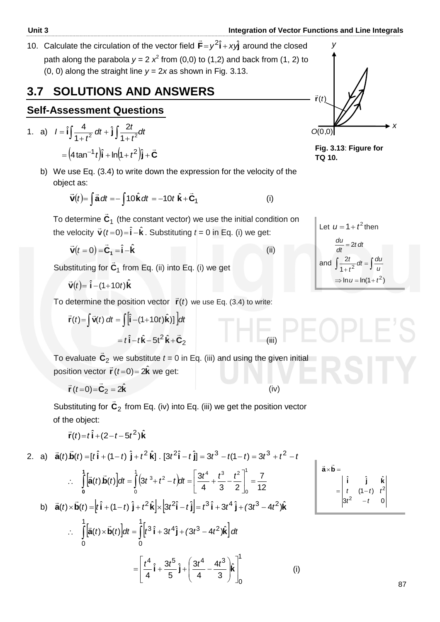10. Calculate the circulation of the vector field  $\vec{F} = y^2 \hat{i} + xy \hat{j}$ ...<br>⇒ around the closed path along the parabola  $y = 2$   $x^2$  from (0,0) to (1,2) and back from (1, 2) to (0, 0) along the straight line *y* = 2*x* as shown in Fig. 3.13.

# **3.7 SOLUTIONS AND ANSWERS**

# **Self-Assessment Questions**

1. a) 
$$
I = \hat{i} \int \frac{4}{1+t^2} dt + \hat{j} \int \frac{2t}{1+t^2} dt
$$

$$
= (4 \tan^{-1} t) \hat{i} + \ln(t+t^2) \hat{j} + \vec{C}
$$

b) We use Eq. (3.4) to write down the expression for the velocity of the object as:

$$
\vec{\mathbf{v}}(t) = \int \vec{\mathbf{a}} \, dt = -\int 10 \hat{\mathbf{k}} \, dt = -10t \hat{\mathbf{k}} + \vec{\mathbf{C}}_1 \tag{i}
$$

 To determine **C**1  $\overline{a}$  (the constant vector) we use the initial condition on the velocity  $\vec{v}(t=0) = \hat{i} - \hat{k}$ . Substituting  $t = 0$  in Eq. (i) we get:

$$
\vec{\mathbf{v}}(t=0) = \vec{\mathbf{C}}_1 = \hat{\mathbf{i}} - \hat{\mathbf{k}} \tag{ii}
$$

Substituting for **C**1  $\rightarrow$ from Eq. (ii) into Eq. (i) we get

 $\vec{v}(t) = \hat{i} - (1 + 10t)\hat{k}$  $\overline{a}$ 

To determine the position vector  $\vec{r}(t)$  we use Eq. (3.4) to write:

$$
\vec{r}(t) = \int \vec{v}(t) dt = \int [\hat{i} - (1+10t)\hat{k})] dt
$$
  
=  $t\hat{i} - t\hat{k} - 5t^2\hat{k} + \vec{C}_2$  (iii)

To evaluate **C**<sup>2</sup>  $\overline{a}$ we substitute  $t = 0$  in Eq. (iii) and using the given initial position vector  $\vec{r}$   $(t=0) = 2\hat{k}$  we get:

$$
\vec{\mathbf{r}}(t=0) = \vec{\mathbf{C}}_2 = 2\hat{\mathbf{k}} \tag{iv}
$$

Substituting for **C**<sup>2</sup>  $\overline{a}$  from Eq. (iv) into Eq. (iii) we get the position vector of the object:

$$
\vec{\mathbf{r}}(t) = t\,\hat{\mathbf{i}} + (2 - t - 5t^2)\hat{\mathbf{k}}
$$

2. a) 
$$
\vec{a}(t)\vec{b}(t) = [t\hat{i} + (1-t)\hat{j} + t^2\hat{k}] \cdot [3t^2\hat{i} - t\hat{j}] = 3t^3 - t(1-t) = 3t^3 + t^2 - t
$$
  
\n
$$
\therefore \int_0^1 [\vec{a}(t)\vec{b}(t)]dt = \int_0^1 (3t^3 + t^2 - t)dt = \left[\frac{3t^4}{4} + \frac{t^3}{3} - \frac{t^2}{2}\right]_0^1 = \frac{7}{12}
$$
\nb)  $\vec{a}(t) \times \vec{b}(t) = [t\hat{i} + (1-t)\hat{j} + t^2\hat{k}] \times [3t^2\hat{i} - t\hat{j}] = t^3\hat{i} + 3t^4\hat{j} + (3t^3 - 4t^2)\hat{k}$   
\n
$$
\therefore \int_0^1 [\vec{a}(t) \times \vec{b}(t)]dt = \int_0^1 [t^3\hat{i} + 3t^4\hat{j} + (3t^3 - 4t^2)\hat{k}]dt
$$
\n
$$
= \left[\frac{t^4}{4}\hat{i} + \frac{3t^5}{5}\hat{j} + \left(\frac{3t^4}{4} - \frac{4t^3}{3}\right)\hat{k}\right]_0^1
$$
\n(i)

$$
\vec{a} \times \vec{b} =
$$
\n
$$
= \begin{vmatrix} \hat{i} & \hat{j} & \hat{k} \\ t & (1-t) & t^2 \\ 3t^2 & -t & 0 \end{vmatrix}
$$





Let 
$$
u = 1 + t^2
$$
 then  
\n
$$
\frac{du}{dt} = 2t dt
$$
\nand 
$$
\int \frac{2t}{t} dt = \int \frac{du}{t} dt
$$

and 
$$
\int \frac{2t}{1+t^2} dt = \int \frac{du}{u}
$$

$$
\Rightarrow \ln u = \ln(1+t^2)
$$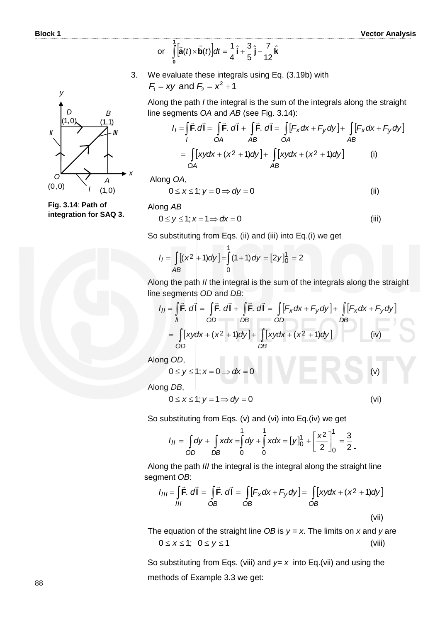or 
$$
\int_{0}^{1} [\vec{a}(t) \times \vec{b}(t)] dt = \frac{1}{4} \hat{i} + \frac{3}{5} \hat{j} - \frac{7}{12} \hat{k}
$$

3. We evaluate these integrals using Eq. (3.19b) with  $F_1 = xy$  and  $F_2 = x^2 + 1$ 

Along the path *I* the integral is the sum of the integrals along the straight line segments *OA* and *AB* (see Fig. 3.14): Along the path *I* the integral is the sum of the integrals along the straight<br>line segments OA and AB (see Fig. 3.14):<br> $I_1 = \int \vec{F} \cdot d\vec{l} = \int \vec{F} \cdot d\vec{l} + \int \vec{F} \cdot d\vec{l} = \int [F_x dx + F_y dy] + \int [F_x dx + F_y dy]$ 

$$
I_1 = \int_{I} \vec{F} \cdot d\vec{l} = \int_{OA} \vec{F} \cdot d\vec{l} + \int_{AB} \vec{F} \cdot d\vec{l} = \int_{OA} [F_x dx + F_y dy] + \int_{AB} [F_x dx + F_y dy]
$$
  
= 
$$
\int_{OA} [xydx + (x^2 + 1)dy] + \int_{AB} [xydx + (x^2 + 1)dy]
$$
 (i)

Along *OA*,

$$
0 \le x \le 1; y = 0 \Rightarrow dy = 0
$$
 (ii)

**Fig. 3.14**: **Path of integration for SAQ 3.** 

Along *AB*

$$
0 \le y \le 1; x = 1 \Rightarrow dx = 0 \tag{iii}
$$

So substituting from Eqs. (ii) and (iii) into Eq.(i) we get  
\n
$$
I_1 = \int_{AB} [(x^2 + 1)dy] = \int_{0}^{1} (1 + 1) dy = [2y]_0^1 = 2
$$

Along the path *II* the integral is the sum of the integrals along the straight line segments *OD* and *DB*: m of the integrals along the straig<br> $[F_x dx + F_y dy] + \int [F_x dx + F_y dy]$ 

line segments *OD* and *DB*:  
\n
$$
I_{II} = \int \vec{F} \cdot d\vec{l} = \int \vec{F} \cdot d\vec{l} + \int \vec{F} \cdot d\vec{l} = \int [F_x dx + F_y dy] + \int [F_x dx + F_y dy]
$$
\n
$$
= \int [xydx + (x^2 + 1)dy] + \int [xydx + (x^2 + 1)dy]
$$
\n*DB*\n*DB*\n*(iv)*

Along *OD*,

$$
0 \le y \le 1; x = 0 \Rightarrow dx = 0
$$
 (v)

Along *DB*,

$$
0 \le x \le 1; y = 1 \Rightarrow dy = 0 \tag{vi}
$$

So substituting from Eqs. (v) and (vi) into Eq.(iv) we get  
\n
$$
I_{II} = \int_{OD} dy + \int_{DB} x dx = \int_{0}^{1} dy + \int_{0}^{1} x dx = [y]_{0}^{1} + \left[ \frac{x^{2}}{2} \right]_{0}^{1} = \frac{3}{2}.
$$

 Along the path *III* the integral is the integral along the straight line segment *OB*:

$$
I_{III} = \int_{III} \vec{F} \cdot d\vec{l} = \int_{OB} \vec{F} \cdot d\vec{l} = \int_{OB} [F_x dx + F_y dy] = \int_{OB} [xy dx + (x^2 + 1) dy]
$$
\n(vii)

 The equation of the straight line *OB* is *y = x*. The limits on *x* and *y* are  $0 \le x \le 1$ ;  $0 \le y \le 1$  (viii)

So substituting from Eqs. (viii) and  $y=x$  into Eq.(vii) and using the methods of Example 3.3 we get:

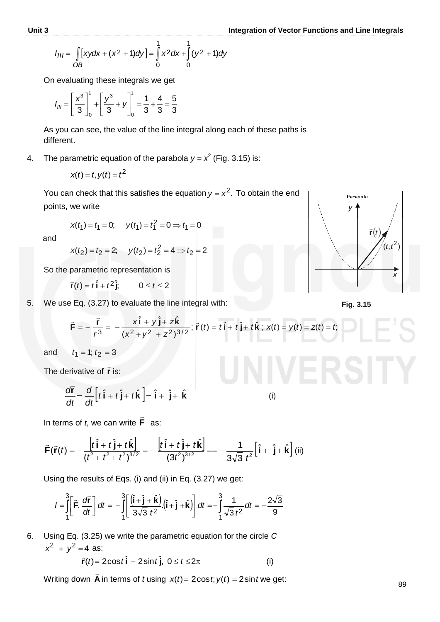$$
I_{III} = \int_{OB} [xydx + (x^2 + 1)dy] = \int_{0}^{1} x^2 dx + \int_{0}^{1} (y^2 + 1)dy
$$

On evaluating these integrals we get

$$
I_{III} = \left[\frac{x^3}{3}\right]_0^1 + \left[\frac{y^3}{3} + y\right]_0^1 = \frac{1}{3} + \frac{4}{3} = \frac{5}{3}
$$

As you can see, the value of the line integral along each of these paths is different.

4. The parametric equation of the parabola  $y = x^2$  (Fig. 3.15) is:

$$
x(t) = t, y(t) = t^2
$$

You can check that this satisfies the equation  $y = x^2$ . To obtain the end points, we write

$$
x(t_1) = t_1 = 0;
$$
  $y(t_1) = t_1^2 = 0 \Rightarrow t_1 = 0$ 

and

$$
x(t_2) = t_2 = 2; \quad y(t_2) = t_2^2 = 4 \Rightarrow t_2 = 2
$$

So the parametric representation is

 $\vec{r}(t) = t\hat{i} + t^2\hat{j}$ ;  $0 \le t \le 2$ 

5. We use Eq. (3.27) to evaluate the line integral with:

$$
\vec{F} = -\frac{\vec{r}}{r^3} = -\frac{x\hat{i} + y\hat{j} + z\hat{k}}{(x^2 + y^2 + z^2)^{3/2}}; \ \vec{r}(t) = t\hat{i} + t\hat{j} + t\hat{k}; \ x(t) = y(t) = z(t) = t;
$$

and  $t_1 = 1$ ;  $t_2 = 3$ 

The derivative of  $\vec{r}$  is:

erivative of 
$$
\vec{r}
$$
 is:  
\n
$$
\frac{d\vec{r}}{dt} = \frac{d}{dt} \left[ t\hat{i} + t\hat{j} + t\hat{k} \right] = \hat{i} + \hat{j} + \hat{k}
$$
\n(i)

 In terms of *t*, we can write **F**  $\rightarrow$ as:

$$
\frac{d\vec{r}}{dt} = \frac{d}{dt} \left[ t\hat{i} + t\hat{j} + t\hat{k} \right] = \hat{i} + \hat{j} + \hat{k}
$$
\n  
\nIn terms of *t*, we can write  $\vec{F}$  as:  
\n
$$
\vec{F}(\vec{r}(t)) = -\frac{\left[ t\hat{i} + t\hat{j} + t\hat{k} \right]}{(t^2 + t^2 + t^2)^{3/2}} = -\frac{\left[ t\hat{i} + t\hat{j} + t\hat{k} \right]}{(3t^2)^{3/2}} = -\frac{1}{3\sqrt{3}} \frac{1}{t^2} \left[ \hat{i} + \hat{j} + \hat{k} \right] \text{ (ii)}
$$

Using the results of Eqs. (i) and (ii) in Eq. (3.27) we get:

$$
(t^2 + t^2 + t^2)^{3/2}
$$
 (3t<sup>2</sup>)<sup>3/2</sup> 3 $\sqrt{3}$  t<sup>2</sup><sup>2</sup>  
ing the results of Eqs. (i) and (ii) in Eq. (3.27) we get:  

$$
I = \int_{1}^{3} \left[ \vec{F} \cdot \frac{d\vec{r}}{dt} \right] dt = -\int_{1}^{3} \left[ \frac{(\hat{i} + \hat{j} + \hat{k})}{3\sqrt{3} t^2} \cdot (\hat{i} + \hat{j} + \hat{k}) \right] dt = -\int_{1}^{3} \frac{1}{\sqrt{3} t^2} dt = -\frac{2\sqrt{3}}{9}
$$

6. Using Eq. (3.25) we write the parametric equation for the circle *C*  $x^2 + y^2 = 4$  as:  $\rightarrow$ 

$$
\vec{r}(t) = 2\cos t \hat{i} + 2\sin t \hat{j}, \ 0 \le t \le 2\pi
$$
 (i)

 Writing down **A**  $\rightarrow$ in terms of *t* using  $x(t) = 2\cos t$ ;  $y(t) = 2\sin t$  we get:



**Fig. 3.15**

$$
(\mathsf{i})
$$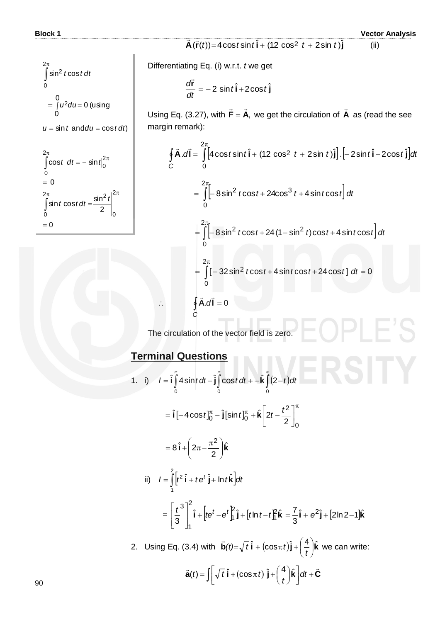$= 0$ 

**Block 1 Vector Analysis**

 $\vec{\mathsf{A}}(\vec{\mathsf{r}}(t))$ =4 $\cos t \sin t \hat{\mathsf{i}}$  + (12 $\cos^2\ t+2\sin\ t) \hat{\mathsf{j}}$  $\vec{r}$ (ii)

Differentiating Eq. (i) w.r.t. *t* we get

$$
\frac{d\vec{r}}{dt} = -2\,\sin t\,\hat{i} + 2\cos t\,\hat{j}
$$

Using Eq.  $(3.27)$ , with **F** = **A**,  $\overline{z}$   $\overline{z}$  $=$  **A**, we get the circulation of  $\bm{A}$  $\overline{a}$  as (read the see margin remark):

Using Eq. (3.27), with 
$$
\vec{F} = \vec{A}
$$
, we get the circulation of  $\vec{A}$  as (read the see  
\nmargin remark):  
\n
$$
\oint_C \vec{A} \cdot d\vec{l} = \int_0^{2\pi} [4 \cos t \sin t \hat{i} + (12 \cos^2 t + 2 \sin t) \hat{j}] \cdot [-2 \sin t \hat{i} + 2 \cos t \hat{j}] dt
$$
\n
$$
= \int_0^{2\pi} [-8 \sin^2 t \cos t + 24 \cos^3 t + 4 \sin t \cos t] dt
$$
\n
$$
= \int_0^{2\pi} [-8 \sin^2 t \cos t + 24 (1 - \sin^2 t) \cos t + 4 \sin t \cos t] dt
$$
\n
$$
= \int_0^{2\pi} [-32 \sin^2 t \cos t + 4 \sin t \cos t + 24 \cos t] dt = 0
$$
\n
$$
\therefore \oint_C \vec{A} \cdot d\vec{l} = 0
$$

The circulation of the vector field is zero.

### **Terminal Questions**

1. i)  $I = \hat{i} \int_0^{\pi} 4 \sin t \, dt - \hat{j} \int_0^{\pi} \cos t \, dt + \hat{k} \int_0^{\pi} (2-t) \, dt$ 0 0 0  $\hat{\mathbf{i}}$   $\int$  4 sin *t* dt –  $\hat{\mathbf{j}}$   $\int$  cos*t* dt + +  $\hat{\mathbf{k}}$   $\int$  (2 =  $\hat{\mathbf{i}}$   $[-4\cos t]_0^{\pi} - \hat{\mathbf{j}}[\sin t]_0^{\pi} + \hat{\mathbf{k}} \left[2t - \frac{t^2}{2}\right]^{\pi}$  $\int_0^{\pi}$  -  $\hat{\boldsymbol{\mathsf{j}}}$  [sin  $t$ ] $\int_0^{\pi}$  +  $\hat{\boldsymbol{\mathsf{k}}}$   $\left[2t-\frac{t^2}{2}\right]$  $\overline{\phantom{a}}$  $\overline{\mathsf{L}}$  $= \hat{\mathbf{i}} \left[ -4\cos t \right]_0^{\pi} - \hat{\mathbf{j}} \left[ \sin t \right]_0^{\pi} + \hat{\mathbf{k}} \left| 2t - \right|$ 0 2  $0 - \ln 10^{10} + N^2$  20  $-2$  $\hat{\textbf{i}} \left[ -4 \cos t \right]_0^{\pi} - \hat{\textbf{j}} \left[ \sin t \right]_0^{\pi} + \hat{\textbf{k}} \left| 2t - \frac{t^2}{2} \right|$  $=8\hat{\mathbf{i}} + 2\pi - \frac{\pi}{2} \hat{\mathbf{k}}$ 2  $8\hat{i} + 2\pi - \frac{\pi^2}{2}$  $\overline{\phantom{a}}$  $\bigg)$  $\setminus$  $\overline{\phantom{a}}$  $\setminus$  $=8\hat{i}+\hat{2}\pi-\frac{\pi}{4}$ ii)  $I = \int_0^t t^2 \hat{\mathbf{i}} + t e^t \hat{\mathbf{j}} + \ln t \hat{\mathbf{k}} \, dt$  $\int_{0}^{2} \left[ t^2 \hat{\mathbf{i}} + t e^t \hat{\mathbf{j}} + \ln t \hat{\mathbf{k}} \right]$ 1  $=\left[\frac{t^3}{3}\right]^2 \hat{\mathbf{i}} + \left[te^t - e^t\right]_1^2 \hat{\mathbf{j}} + \left[t\ln t - t\right]_1^2 \hat{\mathbf{k}} = \frac{7}{3}$  $\hat{\textbf{i}} + \left|te^{t} - e^{t}\right|_1^2 \hat{\textbf{j}} + \left[t\ln t - t\right]_1^2 \hat{\textbf{k}}$ 3 2 h 2 1 2 1 3  $\frac{t^3}{2}$   $\int$  **i** +  $\left[ t e^t - e^t \right]_1^2$  **j** +  $\left[ t \ln t - t \right]$  $\overline{\phantom{a}}$  $\overline{\phantom{a}}$  $\overline{\phantom{a}}$  $\overline{\phantom{a}}$ L  $\mathbf{r}$ L  $\left[\frac{t^3}{2}\right]^2 \hat{\mathbf{i}} + \left[t e^t - e^t \right]_1^2 \hat{\mathbf{j}} + \left[t \ln t - t \right]_1^2 \hat{\mathbf{k}} = \frac{7}{2} \hat{\mathbf{i}} + e^2 \hat{\mathbf{j}} + \left[2 \ln 2 - 1\right] \hat{\mathbf{k}}$ 3  $=\frac{7}{8}i + e^{2}j + 2ln 2 -$ 2. Using Eq. (3.4) with  $\vec{b}(t) = \sqrt{t} \hat{i} + (\cos \pi t) \hat{j} + \left(\frac{4}{t}\right) \hat{k}$ J  $\left(\frac{4}{1}\right)$ Y  $=\sqrt{t}\hat{\mathbf{i}}+(\cos \pi t)\hat{\mathbf{j}}+$ *t*  $t$ *t*  $\int t$  **i** + (cos $\pi t$  $\rightarrow$  we can write:  $\vec{a}(t) = \iint \sqrt{t} \hat{\mathbf{i}} + (\cos \pi t) \hat{\mathbf{j}} + \left(\frac{4}{t}\right) \hat{\mathbf{k}} \, dt + \vec{C}$  $\vec{\mathbf{a}}(t) = \int \left[ \sqrt{t} \hat{\mathbf{i}} + (\cos \pi t) \hat{\mathbf{j}} + \left( \frac{4}{t} \right) \hat{\mathbf{k}} \right] dt + \vec{\mathbf{C}}$  $\overline{\phantom{a}}$ L  $\sqrt{t}\hat{\mathbf{i}} + (\cos \pi t)\hat{\mathbf{j}} + (\frac{4}{t})$  $\left(\frac{4}{t}\right)$  $=\iint \sqrt{t} \hat{\mathbf{i}} + (\cos \pi t) \hat{\mathbf{j}} + \left(\frac{4}{t}\right) \hat{\mathbf{k}} d\theta$  $f(t) = \int \left[ \sqrt{t} \hat{\mathbf{i}} + (\cos \pi t) \hat{\mathbf{j}} + \left( \frac{4}{t} \right) \hat{\mathbf{k}} \right]$ 

*t*

 $u = \sin t$  and  $du = \cos t dt$ (using 0 0  $= \int u^2 du = 0$ sin<sup>2</sup> *t* cos 2 0  $\int \sin^2 t \cos t \, dt$  $\pi$  $= 0$  $\textsf{cost}$   $dt$  =  $\textsf{sin}$ 2 0 2  $\int \cos t \ dt = - \sin t \Big|_0^2$  $\int_{0}^{\pi}$  *c*os*t* dt = - sint<sup>2 $\pi$ </sup> 2  $\sin t \cos t dt = \frac{\sin^2 t}{2}$ 0  $\frac{2\pi}{c}$  cin<sup>2</sup> 0  $=$  $\pi$   $\sin^2 t \vert^{2\pi}$  $\int$  *s* in t cost dt =  $\frac{\sin^2 t}{2}$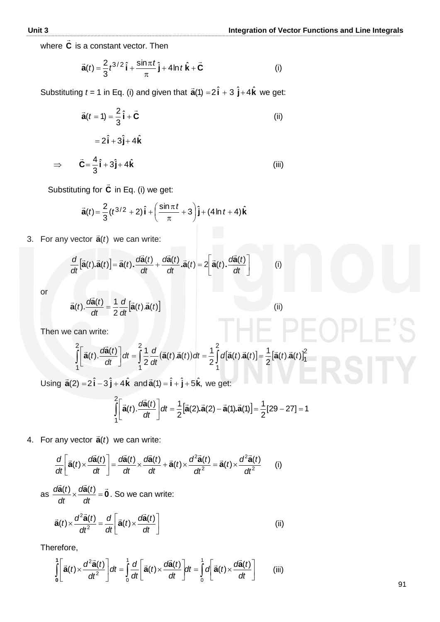where **C**  $\frac{1}{2}$ is a constant vector. Then

$$
\vec{\mathbf{a}}(t) = \frac{2}{3}t^{3/2}\hat{\mathbf{i}} + \frac{\sin \pi t}{\pi}\hat{\mathbf{j}} + 4\ln t \hat{\mathbf{k}} + \vec{\mathbf{C}} \tag{i}
$$

Substituting  $t = 1$  in Eq. (i) and given that  $\vec{a}(1) = 2\hat{i} + 3\hat{j} + 4\hat{k}$  we get:

$$
\vec{a}(t=1) = \frac{2}{3}\hat{i} + \vec{C}
$$
\n(ii)  
\n
$$
= 2\hat{i} + 3\hat{j} + 4\hat{k}
$$
\n
$$
\vec{C} = \frac{4}{3}\hat{i} + 3\hat{j} + 4\hat{k}
$$
\n(iii)

Substituting for **C**  $\overline{a}$ in Eq. (i) we get:

$$
\vec{\mathbf{a}}(t) = \frac{2}{3}(t^{3/2} + 2)\hat{\mathbf{i}} + \left(\frac{\sin \pi t}{\pi} + 3\right)\hat{\mathbf{j}} + (4\ln t + 4)\hat{\mathbf{k}}
$$

3. For any vector **a** *t*)(

3. For any vector 
$$
\vec{\mathbf{a}}(t)
$$
 we can write:  
\n
$$
\frac{d}{dt} [\vec{\mathbf{a}}(t).\vec{\mathbf{a}}(t)] = \vec{\mathbf{a}}(t).\frac{d\vec{\mathbf{a}}(t)}{dt} + \frac{d\vec{\mathbf{a}}(t)}{dt} \cdot \vec{\mathbf{a}}(t) = 2 \left[ \vec{\mathbf{a}}(t).\frac{d\vec{\mathbf{a}}(t)}{dt} \right]
$$
(i)

or

 $\Rightarrow$ 

$$
\vec{\mathbf{a}}(t).\frac{d\vec{\mathbf{a}}(t)}{dt} = \frac{1}{2}\frac{d}{dt}[\vec{\mathbf{a}}(t).\vec{\mathbf{a}}(t)]
$$
 (ii)

Then we can write:

 $\overline{a}$ 

$$
\int_{1}^{2} \left[ \vec{a}(t) \cdot \frac{d\vec{a}(t)}{dt} \right] dt = \int_{1}^{2} \frac{1}{2} \frac{d}{dt} (\vec{a}(t) \cdot \vec{a}(t)) dt = \frac{1}{2} \int_{1}^{2} d\left[ \vec{a}(t) \cdot \vec{a}(t) \right] = \frac{1}{2} \left[ \vec{a}(t) \cdot \vec{a}(t) \right]_{1}^{2}
$$

Using  $\vec{a}(2) = 2\hat{i} - 3\hat{j} + 4\hat{k}$ and  $\vec{a}(1) = \hat{i} + \hat{j} + 5\hat{k}$ , we get:

$$
\int_{1}^{2} \left[ \vec{a}(t) \cdot \frac{d\vec{a}(t)}{dt} \right] dt = \frac{1}{2} \left[ \vec{a}(2) \cdot \vec{a}(2) - \vec{a}(1) \cdot \vec{a}(1) \right] = \frac{1}{2} [29 - 27] = 1
$$

4. For any vector  $\vec{a}(t)$  $\ddot{\mathbf{a}}(t)$  we can write:

$$
\frac{d}{dt}\left[\vec{a}(t)\times\frac{d\vec{a}(t)}{dt}\right] = \frac{d\vec{a}(t)}{dt}\times\frac{d\vec{a}(t)}{dt} + \vec{a}(t)\times\frac{d^2\vec{a}(t)}{dt^2} = \vec{a}(t)\times\frac{d^2\vec{a}(t)}{dt^2}
$$
 (i)

as  $\frac{d\vec{a}(t)}{dt} \times \frac{d\vec{a}(t)}{dt} = \vec{0}$  $x \frac{\partial u(t)}{\partial t} =$ *dt td dt*  $\frac{d\vec{a}(t)}{dt} \times \frac{d\vec{a}(t)}{dt} = \vec{0}$ . So we can write:

$$
\vec{\mathbf{a}}(t) \times \frac{d^2 \vec{\mathbf{a}}(t)}{dt^2} = \frac{d}{dt} \left[ \vec{\mathbf{a}}(t) \times \frac{d\vec{\mathbf{a}}(t)}{dt} \right]
$$
(ii)

Therefore,

$$
\int_{0}^{1} \left[ \vec{\mathbf{a}}(t) \times \frac{d^{2} \vec{\mathbf{a}}(t)}{dt^{2}} \right] dt = \int_{0}^{1} \frac{d}{dt} \left[ \vec{\mathbf{a}}(t) \times \frac{d \vec{\mathbf{a}}(t)}{dt} \right] dt = \int_{0}^{1} \sigma \left[ \vec{\mathbf{a}}(t) \times \frac{d \vec{\mathbf{a}}(t)}{dt} \right]
$$
 (iii)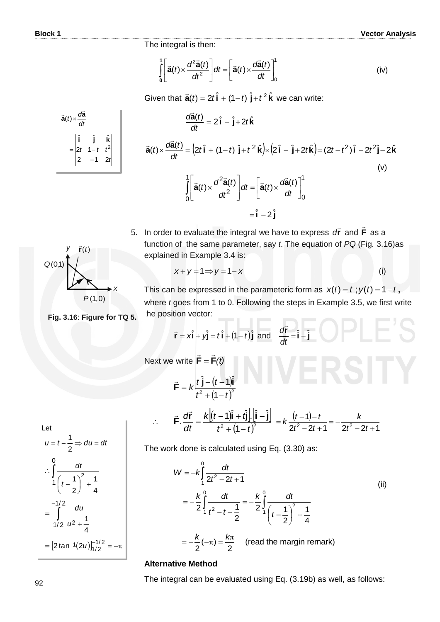The integral is then:

$$
\int_{0}^{1} \left[ \vec{\mathbf{a}}(t) \times \frac{d^{2} \vec{\mathbf{a}}(t)}{dt^{2}} \right] dt = \left[ \vec{\mathbf{a}}(t) \times \frac{d \vec{\mathbf{a}}(t)}{dt} \right]_{0}^{1}
$$
 (iv)

Given that  $\vec{a}(t) = 2t\hat{i} + (1-t)\hat{j} + t^2\hat{k}$  we can write:

$$
\frac{d\vec{a}(t)}{dt} = 2\hat{i} - \hat{j} + 2t\hat{k}
$$
\n
$$
\vec{a}(t) \times \frac{d\vec{a}(t)}{dt} = (2t\hat{i} + (1-t)\hat{j} + t^2\hat{k}) \times (2\hat{i} - \hat{j} + 2t\hat{k}) = (2t - t^2)\hat{i} - 2t^2\hat{j} - 2\hat{k}
$$
\n
$$
\int_0^1 \left[ \vec{a}(t) \times \frac{d^2\vec{a}(t)}{dt^2} \right] dt = \left[ \vec{a}(t) \times \frac{d\vec{a}(t)}{dt} \right]_0^1
$$
\n
$$
= \hat{i} - 2\hat{j}
$$
\n(9)

5. In order to evaluate the integral we have to express  $d\vec{r}$  and  $\vec{F}$  $\overline{\phantom{a}}$ as a function of the same parameter, say *t*. The equation of *PQ* (Fig*.* 3.16)as explained in Example 3.4 is:

$$
x+y=1 \Rightarrow y=1-x
$$
 (i)



*dt*  $\vec{a}(t) \times \frac{d\vec{a}}{dt}$  $\vec{a}(t) \times \frac{d\vec{a}}{dt}$ 

> *ttt* 12 2  $-1$  2

ˆˆˆ  $= |2t \t1-t \t^2$ -

**kji**

*t*

This can be expressed in the parameteric form as  $x(t) = t$ ;  $y(t) = 1 - t$ , where *t* goes from 1 to 0. Following the steps in Example 3.5, we first write the position vector: IF BEABLEIA

$$
\vec{r} = x\hat{i} + y\hat{j} = t\hat{i} + (1-t)\hat{j} \text{ and } \frac{d\vec{r}}{dt} = \hat{i} - \hat{j}
$$
  
Next we write 
$$
\vec{F} = \vec{F}(t)
$$

$$
\vec{F} = k \frac{t \hat{j} + (t - 1)\hat{i}}{t^2 + (1 - t)^2}
$$
\n
$$
\vec{F} \cdot \frac{d\vec{r}}{dt} = \frac{k[(t - 1)\hat{i} + t\hat{j}]\cdot[\hat{i} - \hat{j}]}{t^2 + (1 - t)^2} = k \frac{(t - 1) - t}{2t^2 - 2t + 1} = -\frac{k}{2t^2 - 2t + 1}
$$

Let  
\n
$$
u = t - \frac{1}{2} \Rightarrow du = dt
$$
\n
$$
\therefore \int_{1}^{0} \frac{dt}{\left(t - \frac{1}{2}\right)^{2} + \frac{1}{4}}
$$
\n
$$
= \int_{1/2}^{-1/2} \frac{du}{u^{2} + \frac{1}{4}}
$$
\n
$$
= [2 \tan^{-1}(2u)]_{1/2}^{-1/2} = -\pi
$$

The work done is calculated using Eq. (3.30) as:

$$
W = -k \int_{1}^{0} \frac{dt}{2t^2 - 2t + 1}
$$
  
=  $-\frac{k}{2} \int_{1}^{0} \frac{dt}{t^2 - t + \frac{1}{2}} = -\frac{k}{2} \int_{1}^{0} \frac{dt}{\left(t - \frac{1}{2}\right)^2 + \frac{1}{4}}$   
=  $-\frac{k}{2}(-\pi) = \frac{k\pi}{2}$  (read the margin remark)

#### **Alternative Method**

 $\ddot{\cdot}$ 

The integral can be evaluated using Eq. (3.19b) as well, as follows:

**Fig. 3.16**: **Figure for TQ 5.**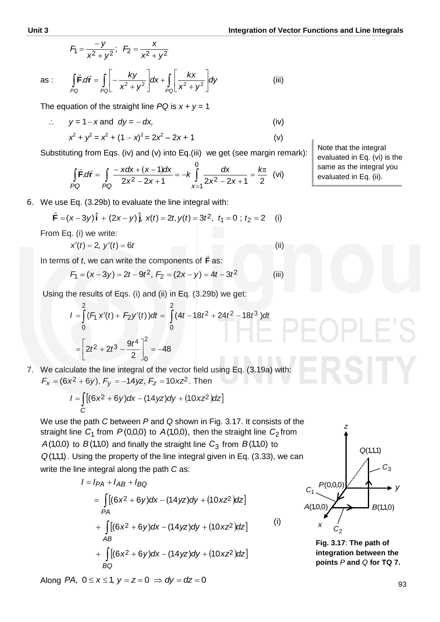(ii)

$$
F_1 = \frac{-y}{x^2 + y^2}; \ \ F_2 = \frac{x}{x^2 + y^2}
$$

as: 
$$
\int_{PQ} \vec{F} \cdot d\vec{r} = \int_{PQ} \left[ -\frac{ky}{x^2 + y^2} \right] dx + \int_{PQ} \left[ \frac{kx}{x^2 + y^2} \right] dy
$$
 (iii)

The equation of the straight line  $PQ$  is  $x + y = 1$ 

 $\therefore$   $y = 1 - x$  and  $dy = -dx$ , (iv)  $x^2 + y^2 = x^2 + (1 - x)^2 = 2x^2 - 2x + 1$  (v)

Substituting from Eqs. (iv) and (v) into Eq.(iii) we get (see margin remark):  
\n
$$
\int_{PQ} \vec{F} \cdot d\vec{r} = \int_{PQ} \frac{-x dx + (x - 1) dx}{2x^2 - 2x + 1} = -k \int_{x=1}^{0} \frac{dx}{2x^2 - 2x + 1} = \frac{k\pi}{2}
$$
 (vi)

6. We use Eq. (3.29b) to evaluate the line integral with:

$$
\vec{F} = (x-3y)\hat{i} + (2x-y)\hat{j}, x(t) = 2t, y(t) = 3t^2, t_1 = 0; t_2 = 2
$$
 (i)

From Eq. (i) we write:

$$
x'(t)=2, y'(t)=6t
$$

 In terms of *t*, we can write the components of **F**  $\overline{\phantom{a}}$ as:

$$
F_1 = (x - 3y) = 2t - 9t^2, F_2 = (2x - y) = 4t - 3t^2
$$
 (iii)

Using the results of Eqs. (i) and (ii) in Eq. (3.29b) we get:

$$
I = \int_{0}^{2} (F_1 x'(t) + F_2 y'(t)) dt = \int_{0}^{2} (4t - 18t^2 + 24t^2 - 18t^3) dt
$$

$$
= \left[ 2t^2 + 2t^3 - \frac{9t^4}{2} \right]_{0}^{2} = -48
$$

7. We calculate the line integral of the vector field using Eq. (3.19a) with:

$$
F_x = (6x^2 + 6y), F_y = -14yz, F_z = 10xz^2.
$$
 Then  

$$
I = \int_C [(6x^2 + 6y)dx - (14yz)dy + (10xz^2)dz]
$$

We use the path *C* between *P* and *Q* shown in Fig. 3.17. It consists of the straight line  $C_1$  from  $P(0,0,0)$  to  $A(1,0,0)$ , then the straight line  $C_2$  from  $A(1,0,0)$  to  $B(1,1,0)$  and finally the straight line  $C_3$  from  $B(1,1,0)$  to  $Q(1,1,1)$ . Using the property of the line integral given in Eq. (3.33), we can write the line integral along the path *C* as:

$$
I = I_{PA} + I_{AB} + I_{BQ}
$$
  
=  $\int_{PA} [(6x^{2} + 6y)dx - (14yz)dy + (10xz^{2})dz]$   
+  $\int_{AB} [(6x^{2} + 6y)dx - (14yz)dy + (10xz^{2})dz]$   
+  $\int_{AB} [(6x^{2} + 6y)dx - (14yz)dy + (10xz^{2})dz]$   
 $BC$  (i)

 $\mathcal{X}$   $\mathcal{C}_2$ *z y*  $A(1,0,0)$  $P(0,0,0)$  $B(1,1,0)$  $Q(1,1,1)$ *C*<sup>3</sup> *C*1

**Fig. 3.17**: **The path of integration between the points** *P* **and** *Q* **for TQ 7.** 

Note that the integral evaluated in Eq. (vi) is the same as the integral you evaluated in Eq. (ii).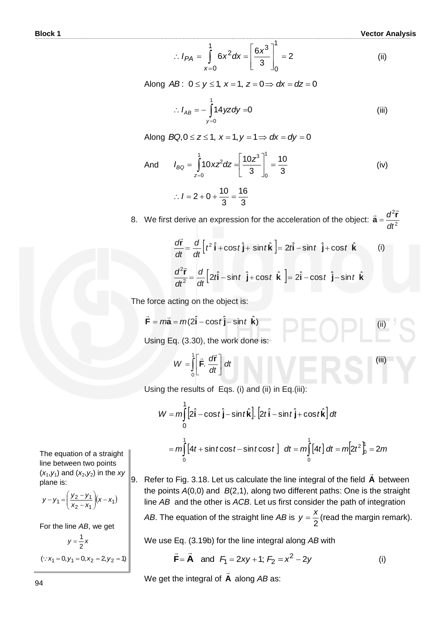$$
\therefore I_{PA} = \int_{x=0}^{1} 6x^2 dx = \left[\frac{6x^3}{3}\right]_0^1 = 2
$$
 (ii)

Along  $AB$ :  $0 \le y \le 1$ ,  $x = 1$ ,  $z = 0 \Rightarrow dx = dz = 0$ 

$$
\therefore I_{AB} = -\int_{y=0}^{1} 14 yz \, dy = 0 \tag{iii}
$$

Along  $BQ, 0 \le z \le 1$ ,  $x = 1$ ,  $y = 1 \Rightarrow dx = dy = 0$ 

And 
$$
I_{BQ} = \int_{z=0}^{1} 10xz^2 dz = \left[\frac{10z^3}{3}\right]_0^1 = \frac{10}{3}
$$
 (iv)

$$
\therefore l = 2 + 0 + \frac{10}{3} = \frac{16}{3}
$$

8. We first derive an expression for the acceleration of the object:  $\vec{a} = \frac{d}{dt^2}$ 2 *dt*  $\vec{a} = \frac{d^2\vec{r}}{d^2}$  $\vec{a} = \frac{d^2 \vec{r}}{r^2}$ 

$$
\frac{d\vec{r}}{dt} = \frac{d}{dt} \left[ t^2 \hat{\mathbf{i}} + \cos t \hat{\mathbf{j}} + \sin t \hat{\mathbf{k}} \right] = 2t\hat{\mathbf{i}} - \sin t \hat{\mathbf{j}} + \cos t \hat{\mathbf{k}} \qquad (i)
$$
  

$$
\frac{d^2\vec{r}}{dt^2} = \frac{d}{dt} \left[ 2t\hat{\mathbf{i}} - \sin t \hat{\mathbf{j}} + \cos t \hat{\mathbf{k}} \right] = 2\hat{\mathbf{i}} - \cos t \hat{\mathbf{j}} - \sin t \hat{\mathbf{k}}
$$

The force acting on the object is:

$$
\vec{F} = m\vec{a} = m(2\hat{i} - \cos t \hat{j} - \sin t \hat{k})
$$
  
Using Eq. (3.30), the work done is: (ii)

$$
W = \int_{0}^{1} \left[ \vec{F} \cdot \frac{d\vec{r}}{dt} \right] dt
$$
 (iii)

Using the results of Eqs. (i) and (ii) in Eq.(iii):

ng the results of Eqs. (i) and (ii) in Eq.(iii):  
\n
$$
W = m \int_{0}^{1} \left[ 2\hat{\mathbf{i}} - \cos t \,\hat{\mathbf{j}} - \sin t \,\hat{\mathbf{k}} \right] \cdot \left[ 2t \,\hat{\mathbf{i}} - \sin t \,\hat{\mathbf{j}} + \cos t \,\hat{\mathbf{k}} \right] dt
$$
\n
$$
= m \int_{0}^{1} \left[ 4t + \sin t \cos t - \sin t \cos t \right] dt = m \int_{0}^{1} \left[ 4t \right] dt = m \left[ 2t^{2} \right]_{0}^{1} = 2m
$$

9. Refer to Fig. 3.18. Let us calculate the line integral of the field **A**  $\rightarrow$ between the points *A*(0,0) and *B*(2,1), along two different paths: One is the straight line *AB* and the other is *ACB*. Let us first consider the path of integration

*AB*. The equation of the straight line *AB* is 2  $y = \frac{x}{2}$  (read the margin remark).

We use Eq. (3.19b) for the line integral along *AB* with

$$
\vec{F} = \vec{A}
$$
 and  $F_1 = 2xy + 1$ ;  $F_2 = x^2 - 2y$  (i)

 We get the integral of **A**  $\overline{a}$ along *AB* as:

The equation of a straight line between two points  $(x_1, y_1)$  and  $(x_2, y_2)$  in the *xy* plane is:

$$
y - y_1 = \left(\frac{y_2 - y_1}{x_2 - x_1}\right) (x - x_1)
$$

For the line *AB*, we get

$$
y = \frac{1}{2} x
$$
  
( $\because$  x<sub>1</sub> = 0, y<sub>1</sub> = 0, x<sub>2</sub> = 2, y<sub>2</sub> = 1)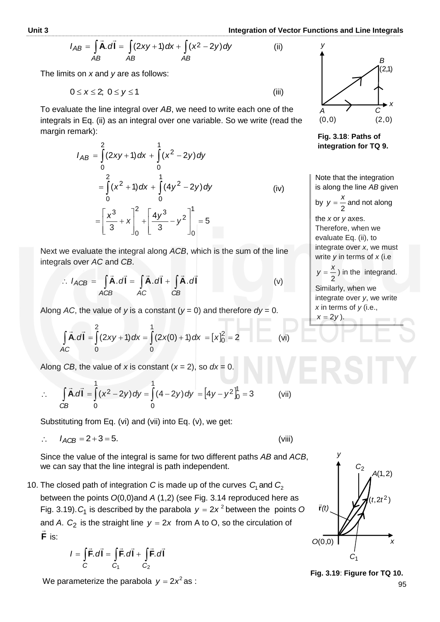(ii)

$$
I_{AB} = \int_{AB} \vec{A} \cdot d\vec{l} = \int_{AB} (2xy + 1) dx + \int_{AB} (x^2 - 2y) dy
$$

The limits on *x* and *y* are as follows:

$$
0 \leq x \leq 2; \ 0 \leq y \leq 1 \tag{iii}
$$

To evaluate the line integral over *AB*, we need to write each one of the integrals in Eq. (ii) as an integral over one variable. So we write (read the margin remark):

$$
I_{AB} = \int_{0}^{2} (2xy + 1) dx + \int_{0}^{1} (x^{2} - 2y) dy
$$
  
= 
$$
\int_{0}^{2} (x^{2} + 1) dx + \int_{0}^{1} (4y^{2} - 2y) dy
$$
 (iv)  
= 
$$
\left[ \frac{x^{3}}{3} + x \right]_{0}^{2} + \left[ \frac{4y^{3}}{3} - y^{2} \right]_{0}^{1} = 5
$$

Next we evaluate the integral along *ACB*, which is the sum of the line integrals over *AC* and *CB*.

$$
\therefore I_{ACB} = \int_{ACB} \vec{A} \cdot d\vec{l} = \int_{AC} \vec{A} \cdot d\vec{l} + \int_{CB} \vec{A} \cdot d\vec{l}
$$
 (v)

Along AC, the value of *y* is a constant  $(y = 0)$  and therefore  $dy = 0$ .

$$
\int \vec{A} \cdot d\vec{l} = \int_{0}^{2} (2xy + 1) dx = \int_{0}^{1} (2x(0) + 1) dx = [x]_{0}^{2} = 2
$$
 (vi)

Along *CB*, the value of *x* is constant  $(x = 2)$ , so  $dx = 0$ .

Along *CB*, the value of *x* is constant (*x* = 2), so *dx* = 0.  
\n
$$
\therefore \int_{CB} \vec{A} \cdot d\vec{l} = \int_{0}^{1} (x^2 - 2y) dy = \int_{0}^{1} (4 - 2y) dy = [4y - y^2]_{0}^{1} = 3
$$
 (vii)

Substituting from Eq. (vi) and (vii) into Eq. (v), we get:

$$
\therefore I_{ACB} = 2 + 3 = 5. \tag{viii}
$$

Since the value of the integral is same for two different paths *AB* and *ACB*, we can say that the line integral is path independent.

10. The closed path of integration C is made up of the curves  $C<sub>1</sub>$  and  $C<sub>2</sub>$ between the points *O*(0,0)and *A* (1,2) (see Fig. 3.14 reproduced here as Fig. 3.19).  $C_1$  is described by the parabola  $y = 2x^2$  between the points O and *A*.  $C_2$  is the straight line  $y = 2x$  from A to O, so the circulation of **F** is:

$$
I = \int_{C} \vec{F} \cdot d\vec{l} = \int_{C_1} \vec{F} \cdot d\vec{l} + \int_{C_2} \vec{F} \cdot d\vec{l}
$$

We parameterize the parabola  $y = 2x^2$  as :



**Fig. 3.18**: **Paths of integration for TQ 9.** 

Note that the integration is along the line *AB* given

by 
$$
y = \frac{x}{2}
$$
 and not along

the *x* or *y* axes. Therefore, when we evaluate Eq. (ii), to integrate over *x*, we must write *y* in terms of *x* (i.e

2  $y = \frac{x}{2}$ ) in the integrand.

Similarly, when we integrate over *y*, we write *x* in terms of *y* (i.e.,  $x = 2y$ ).



**Fig. 3.19**: **Figure for TQ 10.**